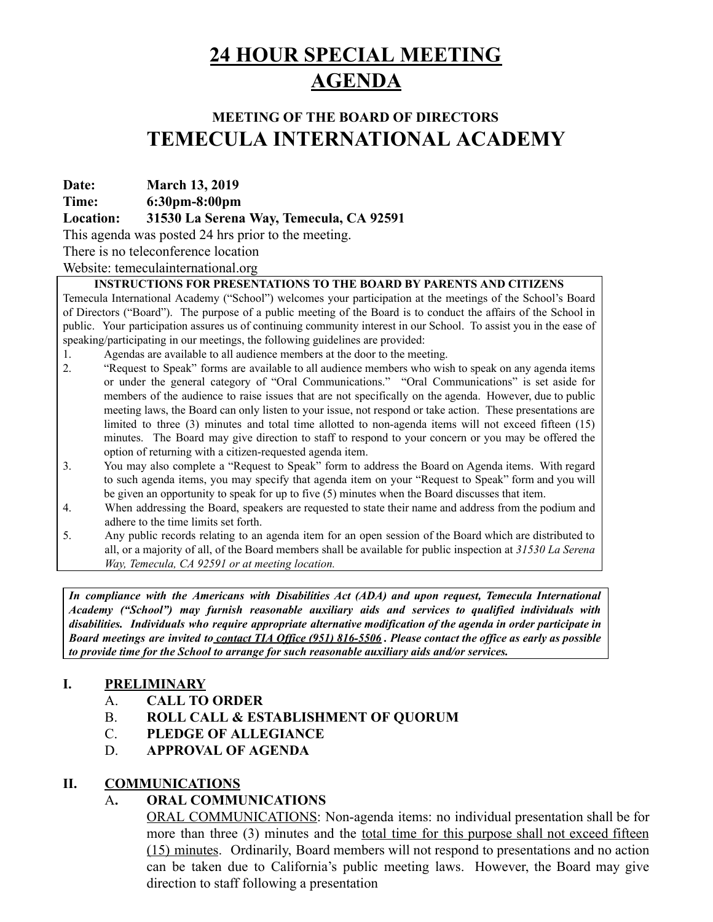## **24 HOUR SPECIAL MEETING AGENDA**

## **MEETING OF THE BOARD OF DIRECTORS TEMECULA INTERNATIONAL ACADEMY**

**Date: March 13, 2019**

**Time: 6:30pm-8:00pm**

**Location: 31530 La Serena Way, Temecula, CA 92591**

This agenda was posted 24 hrs prior to the meeting.

There is no teleconference location

Website: temeculainternational.org

### **INSTRUCTIONS FOR PRESENTATIONS TO THE BOARD BY PARENTS AND CITIZENS**

Temecula International Academy ("School") welcomes your participation at the meetings of the School's Board of Directors ("Board"). The purpose of a public meeting of the Board is to conduct the affairs of the School in public. Your participation assures us of continuing community interest in our School. To assist you in the ease of speaking/participating in our meetings, the following guidelines are provided:

- 1. Agendas are available to all audience members at the door to the meeting.
- 2. "Request to Speak" forms are available to all audience members who wish to speak on any agenda items or under the general category of "Oral Communications." "Oral Communications" is set aside for members of the audience to raise issues that are not specifically on the agenda. However, due to public meeting laws, the Board can only listen to your issue, not respond or take action. These presentations are limited to three (3) minutes and total time allotted to non-agenda items will not exceed fifteen (15) minutes. The Board may give direction to staff to respond to your concern or you may be offered the option of returning with a citizen-requested agenda item.
- 3. You may also complete a "Request to Speak" form to address the Board on Agenda items. With regard to such agenda items, you may specify that agenda item on your "Request to Speak" form and you will be given an opportunity to speak for up to five (5) minutes when the Board discusses that item.
- 4. When addressing the Board, speakers are requested to state their name and address from the podium and adhere to the time limits set forth.
- 5. Any public records relating to an agenda item for an open session of the Board which are distributed to all, or a majority of all, of the Board members shall be available for public inspection at *31530 La Serena Way, Temecula, CA 92591 or at meeting location.*

*In compliance with the Americans with Disabilities Act (ADA) and upon request, Temecula International Academy ("School") may furnish reasonable auxiliary aids and services to qualified individuals with disabilities. Individuals who require appropriate alternative modification of the agenda in order participate in* Board meetings are invited to contact TIA Office (951) 816-5506. Please contact the office as early as possible *to provide time for the School to arrange for such reasonable auxiliary aids and/or services.*

## **I. PRELIMINARY**

- A. **CALL TO ORDER**
- B. **ROLL CALL & ESTABLISHMENT OF QUORUM**
- C. **PLEDGE OF ALLEGIANCE**
- D. **APPROVAL OF AGENDA**

## **II. COMMUNICATIONS**

## **A. ORAL COMMUNICATIONS**

ORAL COMMUNICATIONS: Non-agenda items: no individual presentation shall be for more than three (3) minutes and the total time for this purpose shall not exceed fifteen (15) minutes. Ordinarily, Board members will not respond to presentations and no action can be taken due to California's public meeting laws. However, the Board may give direction to staff following a presentation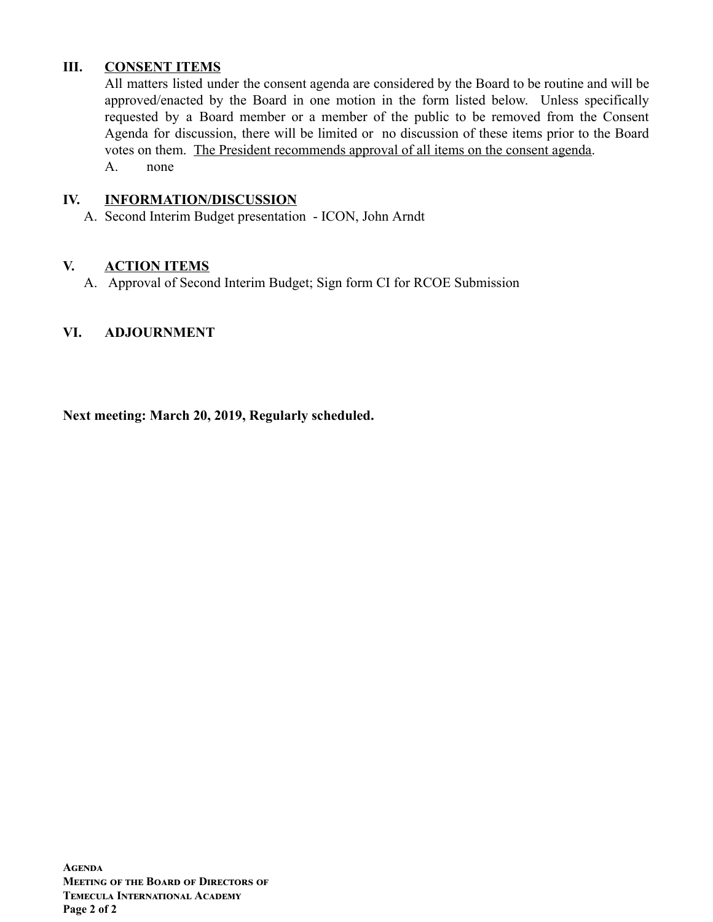## **III. CONSENT ITEMS**

All matters listed under the consent agenda are considered by the Board to be routine and will be approved/enacted by the Board in one motion in the form listed below. Unless specifically requested by a Board member or a member of the public to be removed from the Consent Agenda for discussion, there will be limited or no discussion of these items prior to the Board votes on them. The President recommends approval of all items on the consent agenda. A. none

### **IV. INFORMATION/DISCUSSION**

A. Second Interim Budget presentation - ICON, John Arndt

## **V. ACTION ITEMS**

A. Approval of Second Interim Budget; Sign form CI for RCOE Submission

## **VI. ADJOURNMENT**

**Next meeting: March 20, 2019, Regularly scheduled.**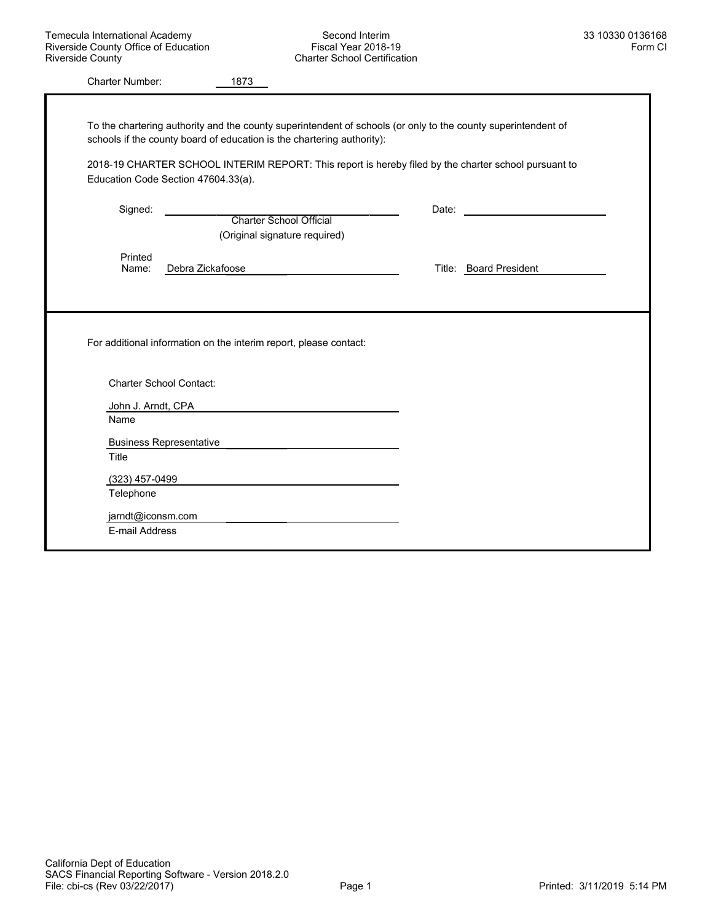|                    | To the chartering authority and the county superintendent of schools (or only to the county superintendent of |                                                                                                                                                                                                                                |
|--------------------|---------------------------------------------------------------------------------------------------------------|--------------------------------------------------------------------------------------------------------------------------------------------------------------------------------------------------------------------------------|
|                    | schools if the county board of education is the chartering authority):                                        |                                                                                                                                                                                                                                |
|                    | 2018-19 CHARTER SCHOOL INTERIM REPORT: This report is hereby filed by the charter school pursuant to          |                                                                                                                                                                                                                                |
|                    | Education Code Section 47604.33(a).                                                                           |                                                                                                                                                                                                                                |
| Signed:            |                                                                                                               | Date: the contract of the contract of the contract of the contract of the contract of the contract of the contract of the contract of the contract of the contract of the contract of the contract of the contract of the cont |
|                    | <b>Charter School Official</b>                                                                                |                                                                                                                                                                                                                                |
|                    | (Original signature required)                                                                                 |                                                                                                                                                                                                                                |
| Printed            |                                                                                                               |                                                                                                                                                                                                                                |
| Name:              | Debra Zickafoose                                                                                              | Title: Board President                                                                                                                                                                                                         |
|                    | For additional information on the interim report, please contact:                                             |                                                                                                                                                                                                                                |
|                    |                                                                                                               |                                                                                                                                                                                                                                |
|                    | <b>Charter School Contact:</b>                                                                                |                                                                                                                                                                                                                                |
| John J. Arndt, CPA |                                                                                                               |                                                                                                                                                                                                                                |
| Name               |                                                                                                               |                                                                                                                                                                                                                                |
|                    | <b>Business Representative</b>                                                                                |                                                                                                                                                                                                                                |
| Title              |                                                                                                               |                                                                                                                                                                                                                                |
| (323) 457-0499     |                                                                                                               |                                                                                                                                                                                                                                |
| Telephone          |                                                                                                               |                                                                                                                                                                                                                                |
| jarndt@iconsm.com  |                                                                                                               |                                                                                                                                                                                                                                |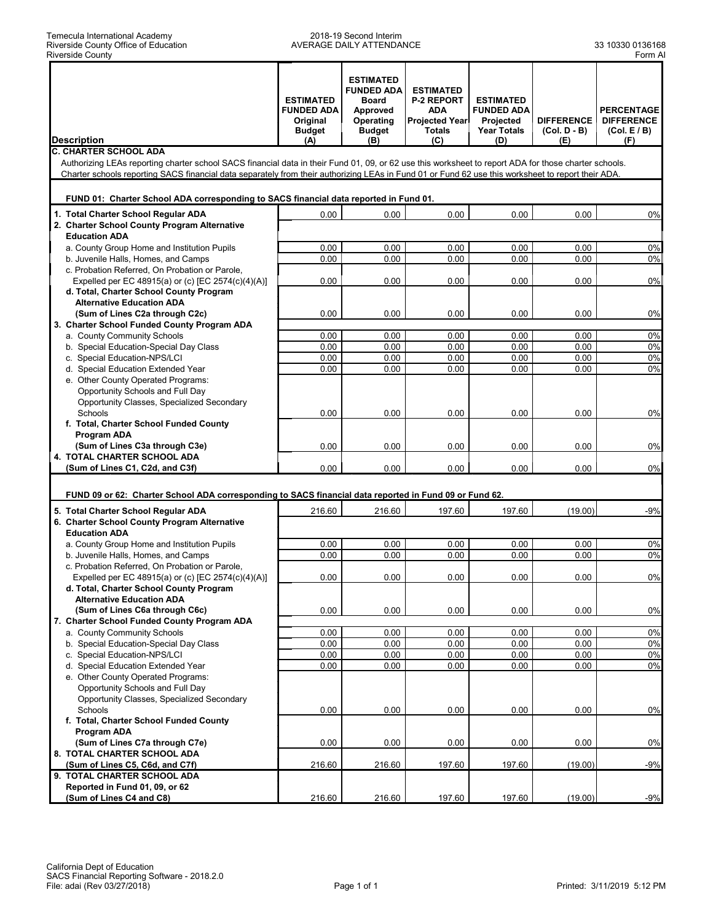#### 2018-19 Second Interim AVERAGE DAILY ATTENDANCE 33 10330 0136168

|                                                                                                                                                                                       | <b>ESTIMATED</b><br><b>FUNDED ADA</b><br>Original<br><b>Budget</b> | <b>ESTIMATED</b><br><b>FUNDED ADA</b><br><b>Board</b><br>Approved<br>Operating<br><b>Budget</b> | <b>ESTIMATED</b><br><b>P-2 REPORT</b><br><b>ADA</b><br><b>Projected Year</b><br><b>Totals</b> | <b>ESTIMATED</b><br><b>FUNDED ADA</b><br>Projected<br><b>Year Totals</b> | <b>DIFFERENCE</b><br>(Col. D - B) | <b>PERCENTAGE</b><br><b>DIFFERENCE</b><br>(Col. E/B) |
|---------------------------------------------------------------------------------------------------------------------------------------------------------------------------------------|--------------------------------------------------------------------|-------------------------------------------------------------------------------------------------|-----------------------------------------------------------------------------------------------|--------------------------------------------------------------------------|-----------------------------------|------------------------------------------------------|
| <b>Description</b>                                                                                                                                                                    | (A)                                                                | (B)                                                                                             | (C)                                                                                           | (D)                                                                      | (E)                               | (F)                                                  |
| <b>C. CHARTER SCHOOL ADA</b><br>Authorizing LEAs reporting charter school SACS financial data in their Fund 01, 09, or 62 use this worksheet to report ADA for those charter schools. |                                                                    |                                                                                                 |                                                                                               |                                                                          |                                   |                                                      |
| Charter schools reporting SACS financial data separately from their authorizing LEAs in Fund 01 or Fund 62 use this worksheet to report their ADA.                                    |                                                                    |                                                                                                 |                                                                                               |                                                                          |                                   |                                                      |
|                                                                                                                                                                                       |                                                                    |                                                                                                 |                                                                                               |                                                                          |                                   |                                                      |
| FUND 01: Charter School ADA corresponding to SACS financial data reported in Fund 01.                                                                                                 |                                                                    |                                                                                                 |                                                                                               |                                                                          |                                   |                                                      |
|                                                                                                                                                                                       |                                                                    |                                                                                                 |                                                                                               |                                                                          |                                   |                                                      |
| 1. Total Charter School Regular ADA<br>2. Charter School County Program Alternative                                                                                                   | 0.00                                                               | 0.00                                                                                            | 0.00                                                                                          | 0.00                                                                     | 0.00                              | 0%                                                   |
| <b>Education ADA</b>                                                                                                                                                                  |                                                                    |                                                                                                 |                                                                                               |                                                                          |                                   |                                                      |
| a. County Group Home and Institution Pupils                                                                                                                                           | 0.00                                                               | 0.00                                                                                            | 0.00                                                                                          | 0.00                                                                     | 0.00                              | 0%                                                   |
| b. Juvenile Halls, Homes, and Camps                                                                                                                                                   | 0.00                                                               | 0.00                                                                                            | 0.00                                                                                          | 0.00                                                                     | 0.00                              | 0%                                                   |
| c. Probation Referred, On Probation or Parole,                                                                                                                                        |                                                                    |                                                                                                 |                                                                                               |                                                                          |                                   |                                                      |
| Expelled per EC 48915(a) or (c) [EC 2574(c)(4)(A)]                                                                                                                                    | 0.00                                                               | 0.00                                                                                            | 0.00                                                                                          | 0.00                                                                     | 0.00                              | 0%                                                   |
| d. Total, Charter School County Program                                                                                                                                               |                                                                    |                                                                                                 |                                                                                               |                                                                          |                                   |                                                      |
| <b>Alternative Education ADA</b>                                                                                                                                                      |                                                                    |                                                                                                 |                                                                                               |                                                                          |                                   |                                                      |
| (Sum of Lines C2a through C2c)                                                                                                                                                        | 0.00                                                               | 0.00                                                                                            | 0.00                                                                                          | 0.00                                                                     | 0.00                              | 0%                                                   |
| 3. Charter School Funded County Program ADA                                                                                                                                           |                                                                    |                                                                                                 |                                                                                               |                                                                          |                                   |                                                      |
| a. County Community Schools                                                                                                                                                           | 0.00                                                               | 0.00                                                                                            | 0.00                                                                                          | 0.00                                                                     | 0.00                              | 0%                                                   |
| b. Special Education-Special Day Class                                                                                                                                                | 0.00                                                               | 0.00                                                                                            | 0.00                                                                                          | 0.00                                                                     | 0.00                              | 0%                                                   |
| c. Special Education-NPS/LCI                                                                                                                                                          | 0.00                                                               | 0.00                                                                                            | 0.00                                                                                          | 0.00                                                                     | 0.00                              | 0%                                                   |
| d. Special Education Extended Year                                                                                                                                                    | 0.00                                                               | 0.00                                                                                            | 0.00                                                                                          | 0.00                                                                     | 0.00                              | 0%                                                   |
| e. Other County Operated Programs:                                                                                                                                                    |                                                                    |                                                                                                 |                                                                                               |                                                                          |                                   |                                                      |
| Opportunity Schools and Full Day                                                                                                                                                      |                                                                    |                                                                                                 |                                                                                               |                                                                          |                                   |                                                      |
| Opportunity Classes, Specialized Secondary                                                                                                                                            |                                                                    |                                                                                                 |                                                                                               |                                                                          |                                   |                                                      |
| Schools                                                                                                                                                                               | 0.00                                                               | 0.00                                                                                            | 0.00                                                                                          | 0.00                                                                     | 0.00                              | 0%                                                   |
| f. Total, Charter School Funded County                                                                                                                                                |                                                                    |                                                                                                 |                                                                                               |                                                                          |                                   |                                                      |
| Program ADA                                                                                                                                                                           |                                                                    |                                                                                                 |                                                                                               |                                                                          |                                   |                                                      |
| (Sum of Lines C3a through C3e)<br>4. TOTAL CHARTER SCHOOL ADA                                                                                                                         | 0.00                                                               | 0.00                                                                                            | 0.00                                                                                          | 0.00                                                                     | 0.00                              | 0%                                                   |
| (Sum of Lines C1, C2d, and C3f)                                                                                                                                                       | 0.00                                                               | 0.00                                                                                            | 0.00                                                                                          | 0.00                                                                     | 0.00                              | 0%                                                   |
|                                                                                                                                                                                       |                                                                    |                                                                                                 |                                                                                               |                                                                          |                                   |                                                      |
|                                                                                                                                                                                       |                                                                    |                                                                                                 |                                                                                               |                                                                          |                                   |                                                      |
| FUND 09 or 62: Charter School ADA corresponding to SACS financial data reported in Fund 09 or Fund 62.                                                                                |                                                                    |                                                                                                 |                                                                                               |                                                                          |                                   |                                                      |
| 5. Total Charter School Regular ADA                                                                                                                                                   | 216.60                                                             | 216.60                                                                                          | 197.60                                                                                        | 197.60                                                                   | (19.00)                           | $-9%$                                                |
| 6. Charter School County Program Alternative                                                                                                                                          |                                                                    |                                                                                                 |                                                                                               |                                                                          |                                   |                                                      |
| <b>Education ADA</b>                                                                                                                                                                  |                                                                    |                                                                                                 |                                                                                               |                                                                          |                                   |                                                      |
| a. County Group Home and Institution Pupils                                                                                                                                           | 0.00                                                               | 0.00                                                                                            | 0.00                                                                                          | 0.00                                                                     | 0.00                              | 0%                                                   |
| b. Juvenile Halls, Homes, and Camps                                                                                                                                                   | 0.00                                                               | 0.00                                                                                            | 0.00                                                                                          | 0.00                                                                     | 0.00                              | 0%                                                   |
| c. Probation Referred. On Probation or Parole.                                                                                                                                        | 0.00                                                               |                                                                                                 |                                                                                               |                                                                          |                                   |                                                      |
| Expelled per EC 48915(a) or (c) [EC 2574(c)(4)(A)]                                                                                                                                    |                                                                    | 0.00                                                                                            | 0.00                                                                                          | 0.00                                                                     | 0.00                              | 0%                                                   |
| d. Total, Charter School County Program<br><b>Alternative Education ADA</b>                                                                                                           |                                                                    |                                                                                                 |                                                                                               |                                                                          |                                   |                                                      |
| (Sum of Lines C6a through C6c)                                                                                                                                                        | 0.00                                                               | 0.00                                                                                            | 0.00                                                                                          | 0.00                                                                     | 0.00                              | $0\%$                                                |
| 7. Charter School Funded County Program ADA                                                                                                                                           |                                                                    |                                                                                                 |                                                                                               |                                                                          |                                   |                                                      |
| a. County Community Schools                                                                                                                                                           | 0.00                                                               | 0.00                                                                                            | 0.00                                                                                          | 0.00                                                                     | 0.00                              | 0%                                                   |
| b. Special Education-Special Day Class                                                                                                                                                | 0.00                                                               | 0.00                                                                                            | 0.00                                                                                          | 0.00                                                                     | 0.00                              | 0%                                                   |
| c. Special Education-NPS/LCI                                                                                                                                                          | 0.00                                                               | 0.00                                                                                            | 0.00                                                                                          | 0.00                                                                     | 0.00                              | 0%                                                   |
| d. Special Education Extended Year                                                                                                                                                    | 0.00                                                               | 0.00                                                                                            | 0.00                                                                                          | 0.00                                                                     | 0.00                              | 0%                                                   |
| e. Other County Operated Programs:                                                                                                                                                    |                                                                    |                                                                                                 |                                                                                               |                                                                          |                                   |                                                      |
| Opportunity Schools and Full Day                                                                                                                                                      |                                                                    |                                                                                                 |                                                                                               |                                                                          |                                   |                                                      |
| Opportunity Classes, Specialized Secondary                                                                                                                                            |                                                                    |                                                                                                 |                                                                                               |                                                                          |                                   |                                                      |
| Schools                                                                                                                                                                               | 0.00                                                               | 0.00                                                                                            | 0.00                                                                                          | 0.00                                                                     | 0.00                              | 0%                                                   |
| f. Total, Charter School Funded County                                                                                                                                                |                                                                    |                                                                                                 |                                                                                               |                                                                          |                                   |                                                      |
| <b>Program ADA</b>                                                                                                                                                                    |                                                                    |                                                                                                 |                                                                                               |                                                                          |                                   |                                                      |
| (Sum of Lines C7a through C7e)                                                                                                                                                        | 0.00                                                               | 0.00                                                                                            | 0.00                                                                                          | 0.00                                                                     | 0.00                              | 0%                                                   |
| 8. TOTAL CHARTER SCHOOL ADA                                                                                                                                                           |                                                                    |                                                                                                 |                                                                                               |                                                                          |                                   |                                                      |
| (Sum of Lines C5, C6d, and C7f)                                                                                                                                                       | 216.60                                                             | 216.60                                                                                          | 197.60                                                                                        | 197.60                                                                   | (19.00)                           | $-9%$                                                |
| 9. TOTAL CHARTER SCHOOL ADA                                                                                                                                                           |                                                                    |                                                                                                 |                                                                                               |                                                                          |                                   |                                                      |
| Reported in Fund 01, 09, or 62                                                                                                                                                        |                                                                    |                                                                                                 |                                                                                               |                                                                          |                                   |                                                      |
| (Sum of Lines C4 and C8)                                                                                                                                                              | 216.60                                                             | 216.60                                                                                          | 197.60                                                                                        | 197.60                                                                   | (19.00)                           | $-9%$                                                |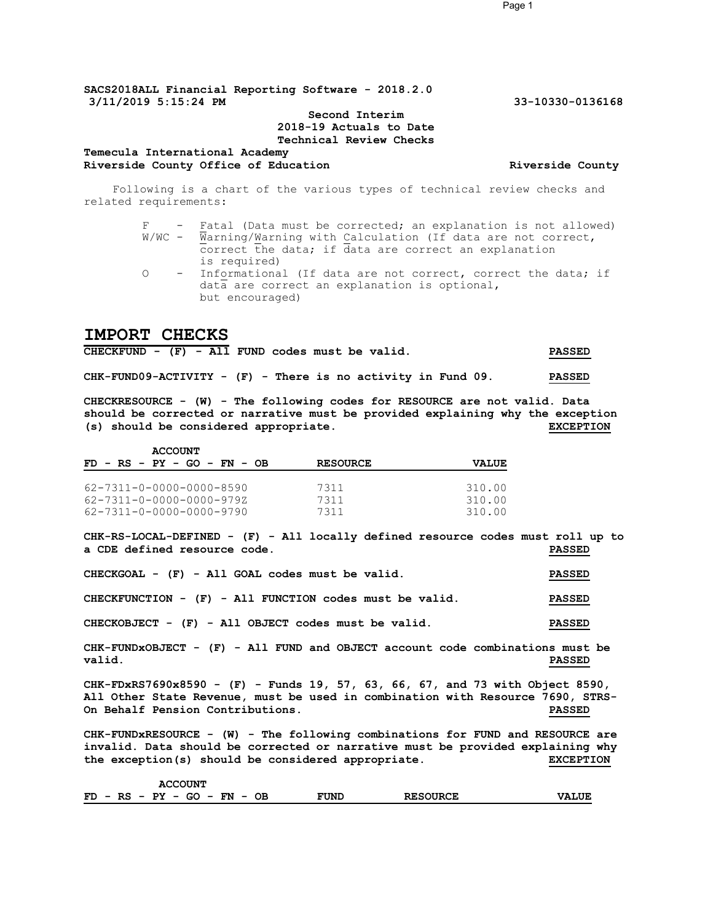#### **Second Interim 2018-19 Actuals to Date Technical Review Checks**

#### **Temecula International Academy** Riverside County Office of Education **Riverside County Riverside County**

Following is a chart of the various types of technical review checks and related requirements:

|            | - Fatal (Data must be corrected; an explanation is not allowed)   |
|------------|-------------------------------------------------------------------|
|            | W/WC - Warning/Warning with Calculation (If data are not correct, |
|            | correct the data; if data are correct an explanation              |
|            | is required)                                                      |
| $\bigcirc$ | - Informational (If data are not correct, correct the data; if    |
|            | data are correct an explanation is optional,                      |
|            | but encouraged)                                                   |

#### **IMPORT CHECKS**

| $CHECKFUND - (F) - All FUND codes must be valid.$              |  |  |  |  |  |  | <b>PASSED</b> |
|----------------------------------------------------------------|--|--|--|--|--|--|---------------|
| $CHK-FUND09-ACTIVITY - (F) - There is no activity in Fund 09.$ |  |  |  |  |  |  | <b>PASSED</b> |

**CHECKRESOURCE - (W) - The following codes for RESOURCE are not valid. Data should be corrected or narrative must be provided explaining why the exception (s) should be considered appropriate. EXCEPTION**

| <b>ACCOUNT</b>                |                 |              |
|-------------------------------|-----------------|--------------|
| $FD - RS - PY - GO - FN - OB$ | <b>RESOURCE</b> | <b>VALUE</b> |
| 62-7311-0-0000-0000-8590      | 7311            | 310.00       |
| 62-7311-0-0000-0000-979Z      | 7311            | 310.00       |
| 62-7311-0-0000-0000-9790      | 7311            | 310.00       |

**CHK-RS-LOCAL-DEFINED - (F) - All locally defined resource codes must roll up to a CDE defined resource code. PASSED**

| CHECKGOAL - (F) - All GOAL codes must be valid.           | <b>PASSED</b> |
|-----------------------------------------------------------|---------------|
| CHECKFUNCTION - $(F)$ - All FUNCTION codes must be valid. | <b>PASSED</b> |
| CHECKOBJECT - (F) - All OBJECT codes must be valid.       | <b>PASSED</b> |

**CHK-FUNDxOBJECT - (F) - All FUND and OBJECT account code combinations must be valid. PASSED**

**CHK-FDxRS7690x8590 - (F) - Funds 19, 57, 63, 66, 67, and 73 with Object 8590, All Other State Revenue, must be used in combination with Resource 7690, STRS-On Behalf Pension Contributions. PASSED**

**CHK-FUNDxRESOURCE - (W) - The following combinations for FUND and RESOURCE are invalid. Data should be corrected or narrative must be provided explaining why the exception(s) should be considered appropriate. EXCEPTION**

| <b>ACCOUNT</b>                                                                  |      |                 |              |
|---------------------------------------------------------------------------------|------|-----------------|--------------|
| FD.<br>- RS - PY<br>GO –<br>${\bf FN}$<br>OВ<br>$\overline{\phantom{0}}$<br>$-$ | FUND | <b>RESOURCE</b> | <b>VALUE</b> |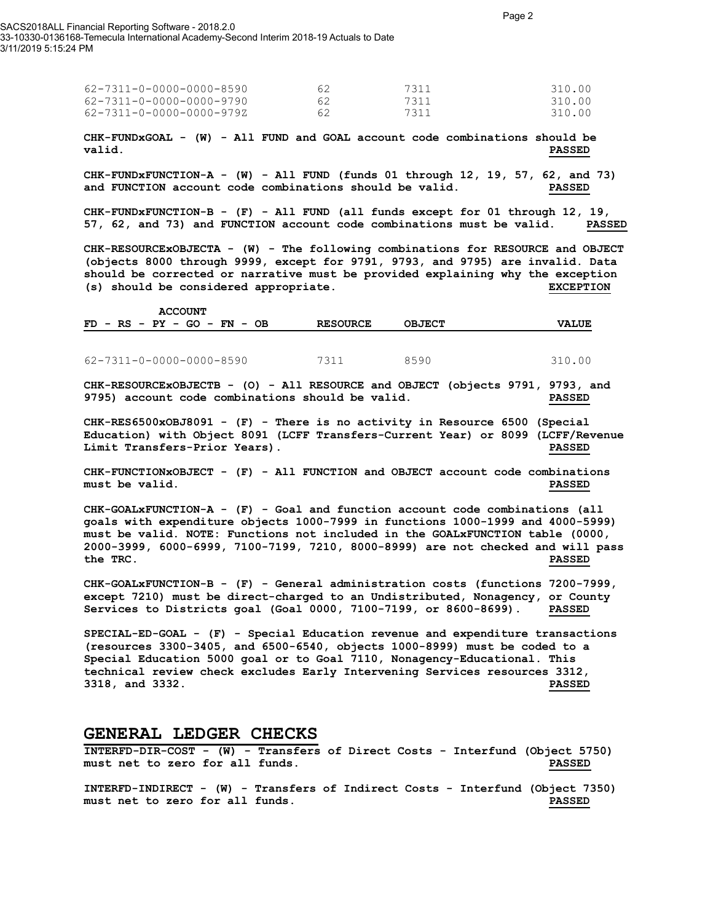SACS2018ALL Financial Reporting Software - 2018.2.0 33-10330-0136168-Temecula International Academy-Second Interim 2018-19 Actuals to Date 3/11/2019 5:15:24 PM

| 62-7311-0-0000-0000-8590 | 62  | 7311 | 310.00 |
|--------------------------|-----|------|--------|
| 62-7311-0-0000-0000-9790 | 62. | 7311 | 310.00 |
| 62-7311-0-0000-0000-979Z | 62. | 7311 | 310.00 |

**CHK-FUNDxGOAL - (W) - All FUND and GOAL account code combinations should be valid. PASSED**

**CHK-FUNDxFUNCTION-A - (W) - All FUND (funds 01 through 12, 19, 57, 62, and 73) and FUNCTION account code combinations should be valid. PASSED**

**CHK-FUNDxFUNCTION-B - (F) - All FUND (all funds except for 01 through 12, 19, 57, 62, and 73) and FUNCTION account code combinations must be valid. PASSED**

**CHK-RESOURCExOBJECTA - (W) - The following combinations for RESOURCE and OBJECT (objects 8000 through 9999, except for 9791, 9793, and 9795) are invalid. Data should be corrected or narrative must be provided explaining why the exception (s) should be considered appropriate. EXCEPTION**

|  |  |  | <b>ACCOUNT</b>                |  |  |                 |               |              |  |
|--|--|--|-------------------------------|--|--|-----------------|---------------|--------------|--|
|  |  |  | $FD - RS - PY - GO - FN - OB$ |  |  | <b>RESOURCE</b> | <b>OBJECT</b> | <b>VALUE</b> |  |
|  |  |  |                               |  |  |                 |               |              |  |

62-7311-0-0000-0000-8590 7311 8590 310.00

**CHK-RESOURCExOBJECTB - (O) - All RESOURCE and OBJECT (objects 9791, 9793, and 9795) account code combinations should be valid. PASSED**

**CHK-RES6500xOBJ8091 - (F) - There is no activity in Resource 6500 (Special Education) with Object 8091 (LCFF Transfers-Current Year) or 8099 (LCFF/Revenue Limit Transfers-Prior Years). PASSED**

**CHK-FUNCTIONxOBJECT - (F) - All FUNCTION and OBJECT account code combinations must be valid. PASSED**

**CHK-GOALxFUNCTION-A - (F) - Goal and function account code combinations (all goals with expenditure objects 1000-7999 in functions 1000-1999 and 4000-5999) must be valid. NOTE: Functions not included in the GOALxFUNCTION table (0000, 2000-3999, 6000-6999, 7100-7199, 7210, 8000-8999) are not checked and will pass the TRC. PASSED**

**CHK-GOALxFUNCTION-B - (F) - General administration costs (functions 7200-7999, except 7210) must be direct-charged to an Undistributed, Nonagency, or County Services to Districts goal (Goal 0000, 7100-7199, or 8600-8699). PASSED**

**SPECIAL-ED-GOAL - (F) - Special Education revenue and expenditure transactions (resources 3300-3405, and 6500-6540, objects 1000-8999) must be coded to a Special Education 5000 goal or to Goal 7110, Nonagency-Educational. This technical review check excludes Early Intervening Services resources 3312, 3318, and 3332. PASSED**

#### **GENERAL LEDGER CHECKS**

**INTERFD-DIR-COST - (W) - Transfers of Direct Costs - Interfund (Object 5750) must net to zero for all funds. PASSED**

**INTERFD-INDIRECT - (W) - Transfers of Indirect Costs - Interfund (Object 7350) must net to zero for all funds. PASSED**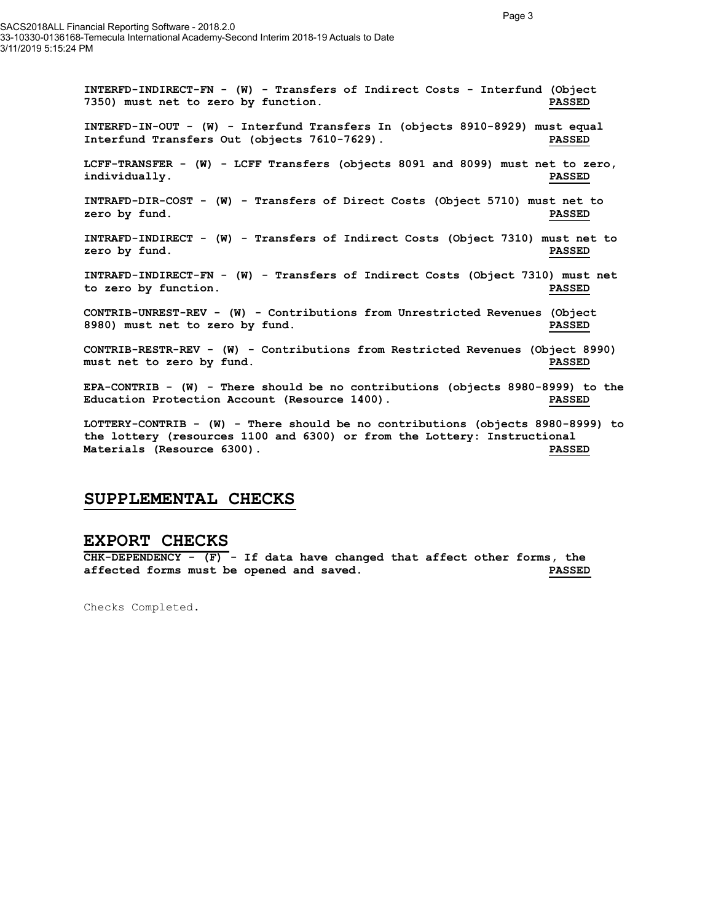**INTERFD-INDIRECT-FN - (W) - Transfers of Indirect Costs - Interfund (Object 7350) must net to zero by function. PASSED INTERFD-IN-OUT - (W) - Interfund Transfers In (objects 8910-8929) must equal Interfund Transfers Out (objects 7610-7629). PASSED LCFF-TRANSFER - (W) - LCFF Transfers (objects 8091 and 8099) must net to zero, individually. PASSED INTRAFD-DIR-COST - (W) - Transfers of Direct Costs (Object 5710) must net to zero by fund. PASSED INTRAFD-INDIRECT - (W) - Transfers of Indirect Costs (Object 7310) must net to zero by fund. PASSED INTRAFD-INDIRECT-FN - (W) - Transfers of Indirect Costs (Object 7310) must net to zero by function. PASSED CONTRIB-UNREST-REV - (W) - Contributions from Unrestricted Revenues (Object 8980) must net to zero by fund. PASSED CONTRIB-RESTR-REV - (W) - Contributions from Restricted Revenues (Object 8990) must net to zero by fund. PASSED EPA-CONTRIB - (W) - There should be no contributions (objects 8980-8999) to the Education Protection Account (Resource 1400). PASSED LOTTERY-CONTRIB - (W) - There should be no contributions (objects 8980-8999) to the lottery (resources 1100 and 6300) or from the Lottery: Instructional Materials (Resource 6300). PASSED**

#### **SUPPLEMENTAL CHECKS**

#### **EXPORT CHECKS**

**CHK-DEPENDENCY - (F) - If data have changed that affect other forms, the affected forms must be opened and saved. PASSED**

Checks Completed.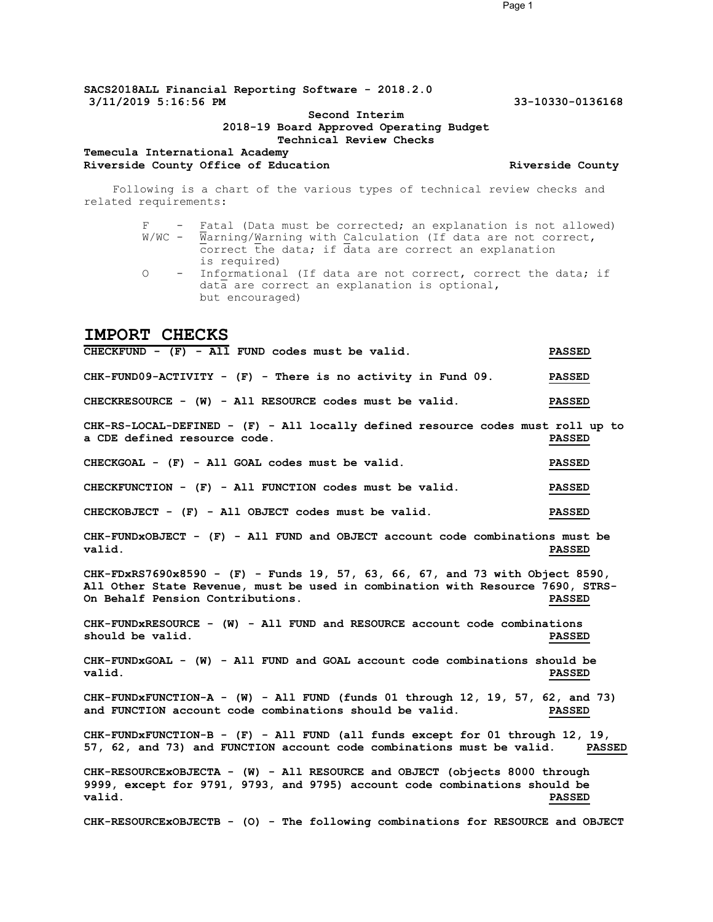#### **SACS2018ALL Financial Reporting Software - 2018.2.0 3/11/2019 5:16:56 PM 33-10330-0136168**

#### **Second Interim 2018-19 Board Approved Operating Budget Technical Review Checks**

#### **Temecula International Academy** Riverside County Office of Education **Riverside County Riverside County**

Following is a chart of the various types of technical review checks and related requirements:

> F - Fatal (Data must be corrected; an explanation is not allowed) W/WC - Warning/Warning with Calculation (If data are not correct, correct the data; if data are correct an explanation is required) O - Informational (If data are not correct, correct the data; if data are correct an explanation is optional, but encouraged)

#### **IMPORT CHECKS**

**CHECKFUND - (F) - All FUND codes must be valid. PASSED CHK-FUND09-ACTIVITY - (F) - There is no activity in Fund 09. PASSED CHECKRESOURCE - (W) - All RESOURCE codes must be valid. PASSED CHK-RS-LOCAL-DEFINED - (F) - All locally defined resource codes must roll up to a CDE defined resource code. PASSED CHECKGOAL - (F) - All GOAL codes must be valid. PASSED CHECKFUNCTION - (F) - All FUNCTION codes must be valid. PASSED CHECKOBJECT - (F) - All OBJECT codes must be valid. PASSED CHK-FUNDxOBJECT - (F) - All FUND and OBJECT account code combinations must be valid. PASSED CHK-FDxRS7690x8590 - (F) - Funds 19, 57, 63, 66, 67, and 73 with Object 8590, All Other State Revenue, must be used in combination with Resource 7690, STRS-On Behalf Pension Contributions. PASSED CHK-FUNDxRESOURCE - (W) - All FUND and RESOURCE account code combinations should be valid. PASSED CHK-FUNDxGOAL - (W) - All FUND and GOAL account code combinations should be valid. PASSED CHK-FUNDxFUNCTION-A - (W) - All FUND (funds 01 through 12, 19, 57, 62, and 73) and FUNCTION account code combinations should be valid. PASSED** CHK-FUNDxFUNCTION-B - (F) - All FUND (all funds except for 01 through 12, 19,<br>57, 62, and 73) and FUNCTION account code combinations must be valid. PASSED 57, 62, and 73) and FUNCTION account code combinations must be valid. **CHK-RESOURCExOBJECTA - (W) - All RESOURCE and OBJECT (objects 8000 through 9999, except for 9791, 9793, and 9795) account code combinations should be valid. PASSED CHK-RESOURCExOBJECTB - (O) - The following combinations for RESOURCE and OBJECT** 

Page 1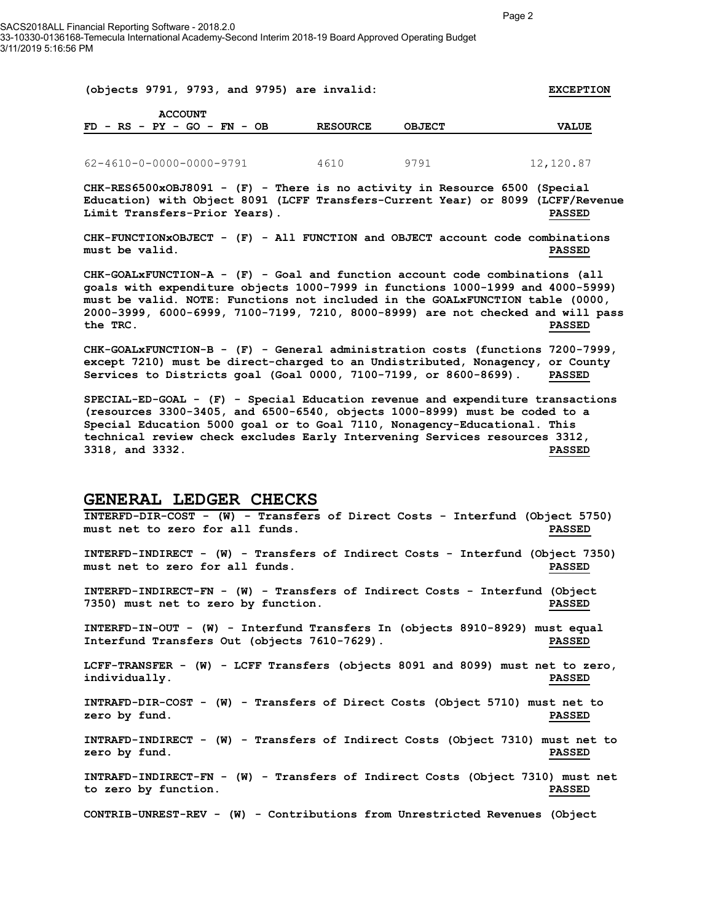| (objects 9791, 9793, and 9795) are invalid: |                 |               | <b>EXCEPTION</b> |
|---------------------------------------------|-----------------|---------------|------------------|
| <b>ACCOUNT</b>                              |                 |               |                  |
| $FD - RS - PY - GO - FN - OB$               | <b>RESOURCE</b> | <b>OBJECT</b> | <b>VALUE</b>     |
|                                             |                 |               |                  |
| 62-4610-0-0000-0000-9791                    | 4610            | 9791          | 12,120.87        |

**CHK-RES6500xOBJ8091 - (F) - There is no activity in Resource 6500 (Special Education) with Object 8091 (LCFF Transfers-Current Year) or 8099 (LCFF/Revenue Limit Transfers-Prior Years). PASSED**

**CHK-FUNCTIONxOBJECT - (F) - All FUNCTION and OBJECT account code combinations must be valid. PASSED**

**CHK-GOALxFUNCTION-A - (F) - Goal and function account code combinations (all goals with expenditure objects 1000-7999 in functions 1000-1999 and 4000-5999) must be valid. NOTE: Functions not included in the GOALxFUNCTION table (0000, 2000-3999, 6000-6999, 7100-7199, 7210, 8000-8999) are not checked and will pass the TRC. PASSED**

**CHK-GOALxFUNCTION-B - (F) - General administration costs (functions 7200-7999, except 7210) must be direct-charged to an Undistributed, Nonagency, or County Services to Districts goal (Goal 0000, 7100-7199, or 8600-8699). PASSED**

**SPECIAL-ED-GOAL - (F) - Special Education revenue and expenditure transactions (resources 3300-3405, and 6500-6540, objects 1000-8999) must be coded to a Special Education 5000 goal or to Goal 7110, Nonagency-Educational. This technical review check excludes Early Intervening Services resources 3312, 3318, and 3332. PASSED**

#### **GENERAL LEDGER CHECKS**

**INTERFD-DIR-COST - (W) - Transfers of Direct Costs - Interfund (Object 5750) must net to zero for all funds. PASSED INTERFD-INDIRECT - (W) - Transfers of Indirect Costs - Interfund (Object 7350) must net to zero for all funds. PASSED INTERFD-INDIRECT-FN - (W) - Transfers of Indirect Costs - Interfund (Object 7350) must net to zero by function. PASSED INTERFD-IN-OUT - (W) - Interfund Transfers In (objects 8910-8929) must equal Interfund Transfers Out (objects 7610-7629). PASSED LCFF-TRANSFER - (W) - LCFF Transfers (objects 8091 and 8099) must net to zero, individually. PASSED INTRAFD-DIR-COST - (W) - Transfers of Direct Costs (Object 5710) must net to zero by fund. PASSED INTRAFD-INDIRECT - (W) - Transfers of Indirect Costs (Object 7310) must net to zero by fund. PASSED INTRAFD-INDIRECT-FN - (W) - Transfers of Indirect Costs (Object 7310) must net to zero by function. PASSED**

**CONTRIB-UNREST-REV - (W) - Contributions from Unrestricted Revenues (Object**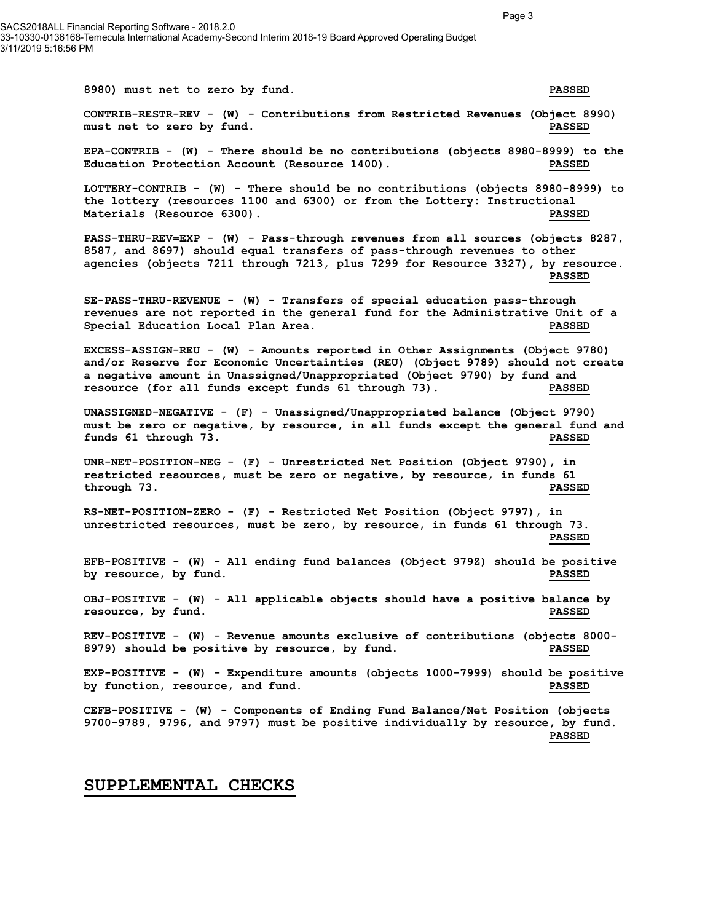SACS2018ALL Financial Reporting Software - 2018.2.0 33-10330-0136168-Temecula International Academy-Second Interim 2018-19 Board Approved Operating Budget 3/11/2019 5:16:56 PM

**8980) must net to zero by fund. PASSED**

**CONTRIB-RESTR-REV - (W) - Contributions from Restricted Revenues (Object 8990)**  must net to zero by fund.

**EPA-CONTRIB - (W) - There should be no contributions (objects 8980-8999) to the Education Protection Account (Resource 1400). PASSED**

**LOTTERY-CONTRIB - (W) - There should be no contributions (objects 8980-8999) to the lottery (resources 1100 and 6300) or from the Lottery: Instructional Materials (Resource 6300). PASSED**

**PASS-THRU-REV=EXP - (W) - Pass-through revenues from all sources (objects 8287, 8587, and 8697) should equal transfers of pass-through revenues to other agencies (objects 7211 through 7213, plus 7299 for Resource 3327), by resource. PASSED**

**SE-PASS-THRU-REVENUE - (W) - Transfers of special education pass-through revenues are not reported in the general fund for the Administrative Unit of a Special Education Local Plan Area. PASSED**

**EXCESS-ASSIGN-REU - (W) - Amounts reported in Other Assignments (Object 9780) and/or Reserve for Economic Uncertainties (REU) (Object 9789) should not create a negative amount in Unassigned/Unappropriated (Object 9790) by fund and resource (for all funds except funds 61 through 73). PASSED**

**UNASSIGNED-NEGATIVE - (F) - Unassigned/Unappropriated balance (Object 9790) must be zero or negative, by resource, in all funds except the general fund and funds 61 through 73. PASSED**

**UNR-NET-POSITION-NEG - (F) - Unrestricted Net Position (Object 9790), in restricted resources, must be zero or negative, by resource, in funds 61 through 73. PASSED**

**RS-NET-POSITION-ZERO - (F) - Restricted Net Position (Object 9797), in unrestricted resources, must be zero, by resource, in funds 61 through 73. PASSED**

**EFB-POSITIVE - (W) - All ending fund balances (Object 979Z) should be positive by resource, by fund. PASSED**

**OBJ-POSITIVE - (W) - All applicable objects should have a positive balance by resource, by fund. PASSED**

**REV-POSITIVE - (W) - Revenue amounts exclusive of contributions (objects 8000- 8979) should be positive by resource, by fund. PASSED**

**EXP-POSITIVE - (W) - Expenditure amounts (objects 1000-7999) should be positive by function, resource, and fund. PASSED**

**CEFB-POSITIVE - (W) - Components of Ending Fund Balance/Net Position (objects 9700-9789, 9796, and 9797) must be positive individually by resource, by fund. PASSED**

#### **SUPPLEMENTAL CHECKS**

Page 3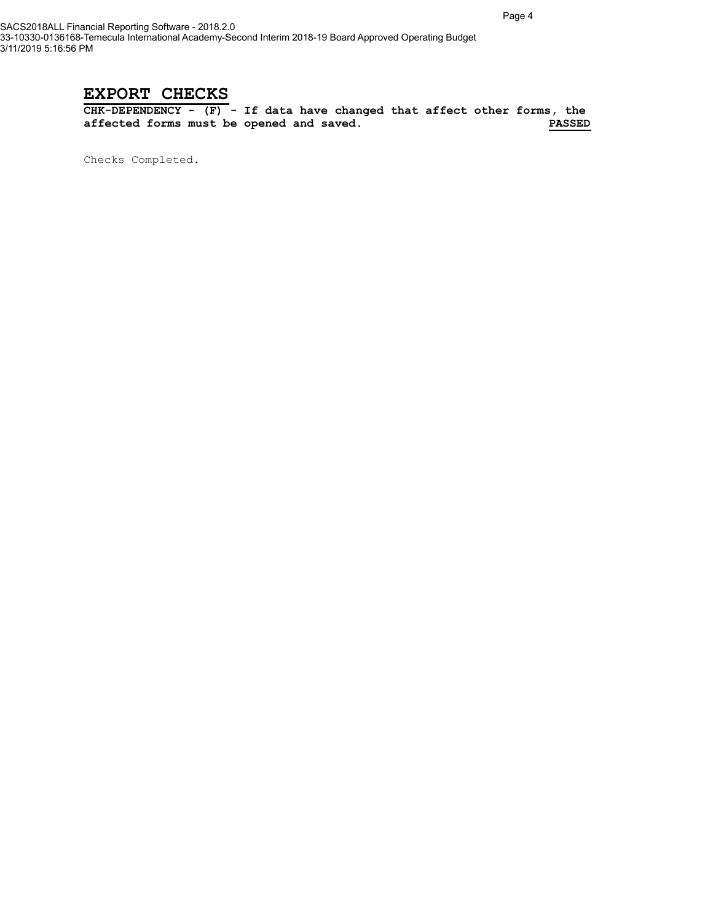## **EXPORT CHECKS**

**CHK-DEPENDENCY - (F) - If data have changed that affect other forms, the**  affected forms must be opened and saved.

Checks Completed.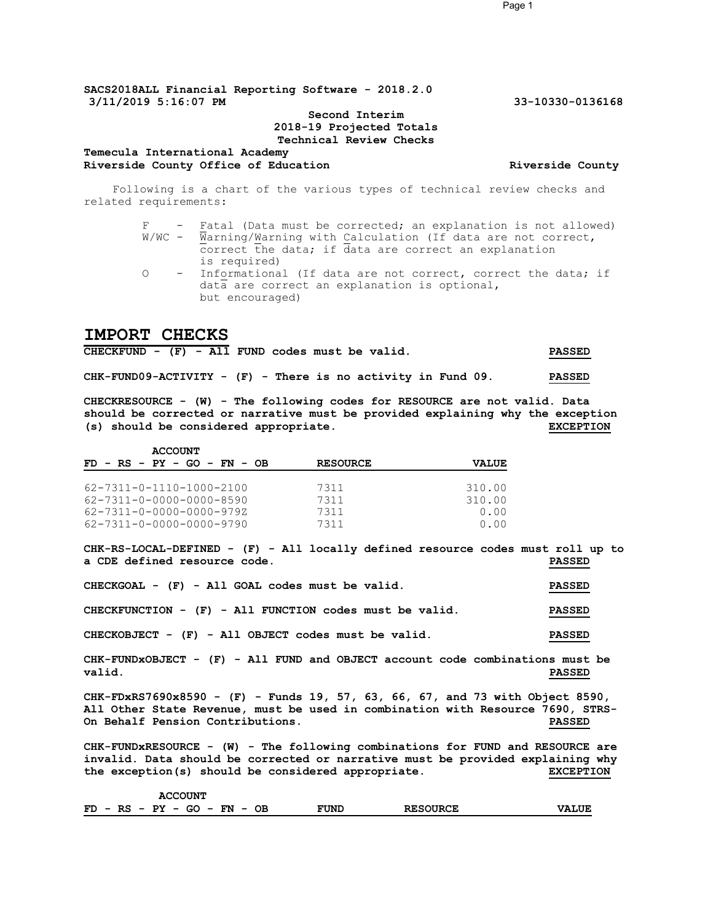#### **Second Interim 2018-19 Projected Totals Technical Review Checks**

#### **Temecula International Academy** Riverside County Office of Education **Riverside County Riverside County**

Following is a chart of the various types of technical review checks and related requirements:

> F - Fatal (Data must be corrected; an explanation is not allowed) W/WC - Warning/Warning with Calculation (If data are not correct, correct the data; if data are correct an explanation is required) O - Informational (If data are not correct, correct the data; if data are correct an explanation is optional, but encouraged)

#### **IMPORT CHECKS**

| CHECKFUND - $(F)$ - All FUND codes must be valid.              |  |  |  |  |  |  |  | <b>PASSED</b> |
|----------------------------------------------------------------|--|--|--|--|--|--|--|---------------|
| $CHK-FUND09-ACTIVITY - (F) - There is no activity in Fund 09.$ |  |  |  |  |  |  |  | <b>PASSED</b> |

**CHECKRESOURCE - (W) - The following codes for RESOURCE are not valid. Data should be corrected or narrative must be provided explaining why the exception (s) should be considered appropriate. EXCEPTION**

| <b>ACCOUNT</b>                       |                 |              |  |  |  |  |  |  |  |  |  |
|--------------------------------------|-----------------|--------------|--|--|--|--|--|--|--|--|--|
| $FD - RS - PY - GO - FN - OB$        | <b>RESOURCE</b> | <b>VALUE</b> |  |  |  |  |  |  |  |  |  |
|                                      |                 |              |  |  |  |  |  |  |  |  |  |
| $62 - 7311 - 0 - 1110 - 1000 - 2100$ | 7311            | 310.00       |  |  |  |  |  |  |  |  |  |
| 62-7311-0-0000-0000-8590             | 7311            | 310.00       |  |  |  |  |  |  |  |  |  |
| 62-7311-0-0000-0000-979Z             | 7311            | 0.00         |  |  |  |  |  |  |  |  |  |
| 62-7311-0-0000-0000-9790             | 7311            | 0.00         |  |  |  |  |  |  |  |  |  |

**CHK-RS-LOCAL-DEFINED - (F) - All locally defined resource codes must roll up to a CDE defined resource code. PASSED**

| $CHECKGOAL - (F) - All GOAL codes must be valid.$       | <b>PASSED</b> |
|---------------------------------------------------------|---------------|
| CHECKFUNCTION - (F) - All FUNCTION codes must be valid. | <b>PASSED</b> |
| CHECKOBJECT - $(F)$ - All OBJECT codes must be valid.   | <b>PASSED</b> |

**CHK-FUNDxOBJECT - (F) - All FUND and OBJECT account code combinations must be valid. PASSED**

**CHK-FDxRS7690x8590 - (F) - Funds 19, 57, 63, 66, 67, and 73 with Object 8590, All Other State Revenue, must be used in combination with Resource 7690, STRS-On Behalf Pension Contributions. PASSED**

**CHK-FUNDxRESOURCE - (W) - The following combinations for FUND and RESOURCE are invalid. Data should be corrected or narrative must be provided explaining why the exception(s) should be considered appropriate. EXCEPTION**

| <b>ACCOUNT</b>                           |      |                 |              |
|------------------------------------------|------|-----------------|--------------|
| $FD - RS - PY - GO - FN$<br>OВ<br>$\sim$ | FUND | <b>RESOURCE</b> | <b>VALUE</b> |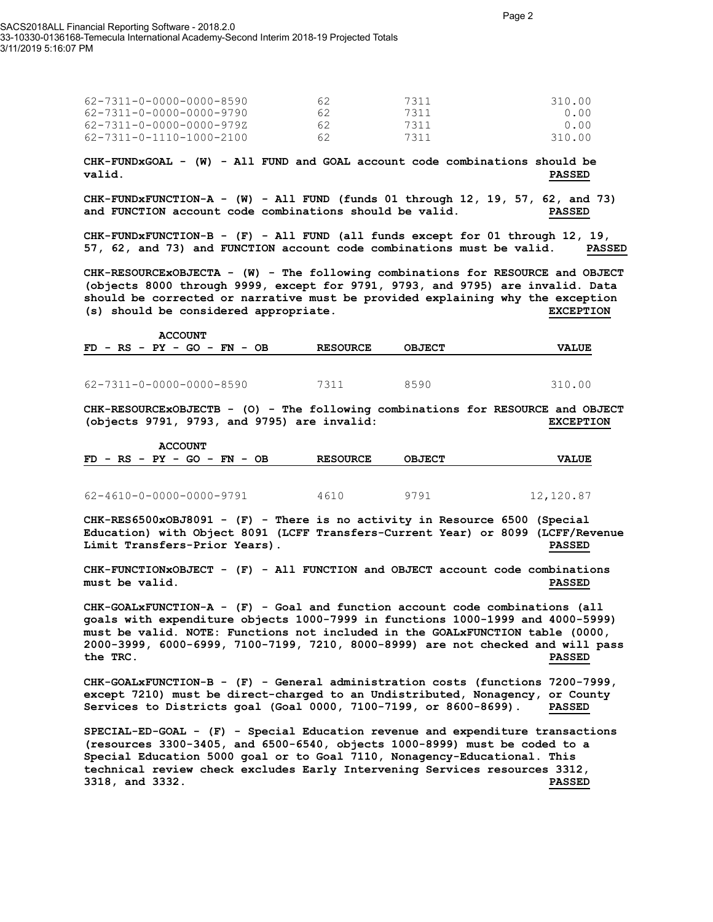| 62-7311-0-0000-0000-8590 | 62  | 7311 | 310.00 |
|--------------------------|-----|------|--------|
| 62-7311-0-0000-0000-9790 | 62. | 7311 | 0.00   |
| 62-7311-0-0000-0000-979Z | 62. | 7311 | 0.00   |
| 62-7311-0-1110-1000-2100 | 62  | 7311 | 310.00 |

**CHK-FUNDxGOAL - (W) - All FUND and GOAL account code combinations should be valid. PASSED**

**CHK-FUNDxFUNCTION-A - (W) - All FUND (funds 01 through 12, 19, 57, 62, and 73) and FUNCTION account code combinations should be valid. PASSED**

**CHK-FUNDxFUNCTION-B - (F) - All FUND (all funds except for 01 through 12, 19, 57, 62, and 73) and FUNCTION account code combinations must be valid. PASSED**

**CHK-RESOURCExOBJECTA - (W) - The following combinations for RESOURCE and OBJECT (objects 8000 through 9999, except for 9791, 9793, and 9795) are invalid. Data should be corrected or narrative must be provided explaining why the exception (s) should be considered appropriate. EXCEPTION**

|  |  | <b>ACCOUNT</b>                |  |  |  |                 |               |  |              |  |
|--|--|-------------------------------|--|--|--|-----------------|---------------|--|--------------|--|
|  |  | $FD - RS - PY - GO - FN - OB$ |  |  |  | <b>RESOURCE</b> | <b>OBJECT</b> |  | <b>VALUE</b> |  |
|  |  |                               |  |  |  |                 |               |  |              |  |

62-7311-0-0000-0000-8590 7311 8590 310.00

**CHK-RESOURCExOBJECTB - (O) - The following combinations for RESOURCE and OBJECT (objects 9791, 9793, and 9795) are invalid: EXCEPTION**

| <b>ACCOUNT</b>                |                 |               |              |
|-------------------------------|-----------------|---------------|--------------|
| $FD - RS - PY - GO - FN - OB$ | <b>RESOURCE</b> | <b>OBJECT</b> | <b>VALUE</b> |
|                               |                 |               |              |
| 62-4610-0-0000-0000-9791      | 4610            | 9791          | 12,120.87    |

**CHK-RES6500xOBJ8091 - (F) - There is no activity in Resource 6500 (Special Education) with Object 8091 (LCFF Transfers-Current Year) or 8099 (LCFF/Revenue Limit Transfers-Prior Years). PASSED**

**CHK-FUNCTIONxOBJECT - (F) - All FUNCTION and OBJECT account code combinations must be valid. PASSED**

**CHK-GOALxFUNCTION-A - (F) - Goal and function account code combinations (all goals with expenditure objects 1000-7999 in functions 1000-1999 and 4000-5999) must be valid. NOTE: Functions not included in the GOALxFUNCTION table (0000, 2000-3999, 6000-6999, 7100-7199, 7210, 8000-8999) are not checked and will pass the TRC. PASSED**

**CHK-GOALxFUNCTION-B - (F) - General administration costs (functions 7200-7999, except 7210) must be direct-charged to an Undistributed, Nonagency, or County Services to Districts goal (Goal 0000, 7100-7199, or 8600-8699). PASSED**

**SPECIAL-ED-GOAL - (F) - Special Education revenue and expenditure transactions (resources 3300-3405, and 6500-6540, objects 1000-8999) must be coded to a Special Education 5000 goal or to Goal 7110, Nonagency-Educational. This technical review check excludes Early Intervening Services resources 3312, 3318, and 3332. PASSED**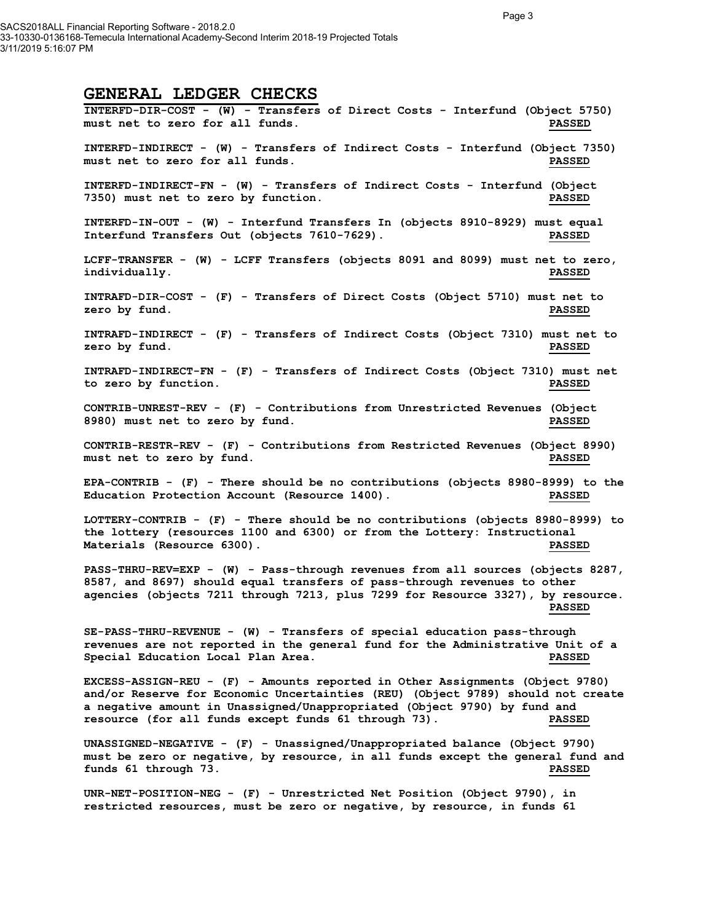SACS2018ALL Financial Reporting Software - 2018.2.0 33-10330-0136168-Temecula International Academy-Second Interim 2018-19 Projected Totals 3/11/2019 5:16:07 PM

### **GENERAL LEDGER CHECKS**

**INTERFD-DIR-COST - (W) - Transfers of Direct Costs - Interfund (Object 5750) must net to zero for all funds. PASSED INTERFD-INDIRECT - (W) - Transfers of Indirect Costs - Interfund (Object 7350) must net to zero for all funds. PASSED INTERFD-INDIRECT-FN - (W) - Transfers of Indirect Costs - Interfund (Object 7350) must net to zero by function. PASSED INTERFD-IN-OUT - (W) - Interfund Transfers In (objects 8910-8929) must equal Interfund Transfers Out (objects 7610-7629). PASSED LCFF-TRANSFER - (W) - LCFF Transfers (objects 8091 and 8099) must net to zero, individually. PASSED INTRAFD-DIR-COST - (F) - Transfers of Direct Costs (Object 5710) must net to zero by fund. PASSED INTRAFD-INDIRECT - (F) - Transfers of Indirect Costs (Object 7310) must net to zero by fund. PASSED INTRAFD-INDIRECT-FN - (F) - Transfers of Indirect Costs (Object 7310) must net to zero by function. PASSED CONTRIB-UNREST-REV - (F) - Contributions from Unrestricted Revenues (Object 8980) must net to zero by fund. PASSED CONTRIB-RESTR-REV - (F) - Contributions from Restricted Revenues (Object 8990) must net to zero by fund. PASSED EPA-CONTRIB - (F) - There should be no contributions (objects 8980-8999) to the Education Protection Account (Resource 1400). PASSED LOTTERY-CONTRIB - (F) - There should be no contributions (objects 8980-8999) to the lottery (resources 1100 and 6300) or from the Lottery: Instructional Materials (Resource 6300). PASSED PASS-THRU-REV=EXP - (W) - Pass-through revenues from all sources (objects 8287, 8587, and 8697) should equal transfers of pass-through revenues to other agencies (objects 7211 through 7213, plus 7299 for Resource 3327), by resource. PASSED SE-PASS-THRU-REVENUE - (W) - Transfers of special education pass-through revenues are not reported in the general fund for the Administrative Unit of a Special Education Local Plan Area. PASSED EXCESS-ASSIGN-REU - (F) - Amounts reported in Other Assignments (Object 9780) and/or Reserve for Economic Uncertainties (REU) (Object 9789) should not create a negative amount in Unassigned/Unappropriated (Object 9790) by fund and resource (for all funds except funds 61 through 73). PASSED UNASSIGNED-NEGATIVE - (F) - Unassigned/Unappropriated balance (Object 9790) must be zero or negative, by resource, in all funds except the general fund and funds 61 through 73. PASSED UNR-NET-POSITION-NEG - (F) - Unrestricted Net Position (Object 9790), in restricted resources, must be zero or negative, by resource, in funds 61**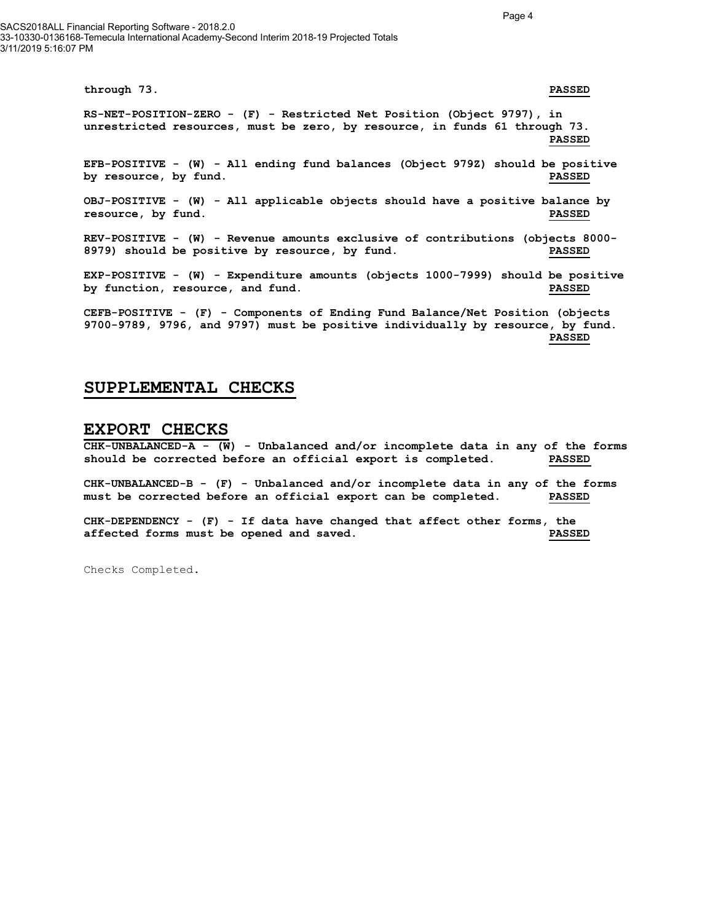SACS2018ALL Financial Reporting Software - 2018.2.0 33-10330-0136168-Temecula International Academy-Second Interim 2018-19 Projected Totals 3/11/2019 5:16:07 PM

> **through 73. PASSED RS-NET-POSITION-ZERO - (F) - Restricted Net Position (Object 9797), in unrestricted resources, must be zero, by resource, in funds 61 through 73. PASSED EFB-POSITIVE - (W) - All ending fund balances (Object 979Z) should be positive by resource, by fund. PASSED OBJ-POSITIVE - (W) - All applicable objects should have a positive balance by resource, by fund. PASSED REV-POSITIVE - (W) - Revenue amounts exclusive of contributions (objects 8000- 8979) should be positive by resource, by fund. PASSED EXP-POSITIVE - (W) - Expenditure amounts (objects 1000-7999) should be positive by function, resource, and fund. PASSED CEFB-POSITIVE - (F) - Components of Ending Fund Balance/Net Position (objects 9700-9789, 9796, and 9797) must be positive individually by resource, by fund. PASSED**

#### **SUPPLEMENTAL CHECKS**

#### **EXPORT CHECKS**

**CHK-UNBALANCED-A - (W) - Unbalanced and/or incomplete data in any of the forms should be corrected before an official export is completed. PASSED**

**CHK-UNBALANCED-B - (F) - Unbalanced and/or incomplete data in any of the forms must be corrected before an official export can be completed. PASSED**

**CHK-DEPENDENCY - (F) - If data have changed that affect other forms, the affected forms must be opened and saved. PASSED**

Checks Completed.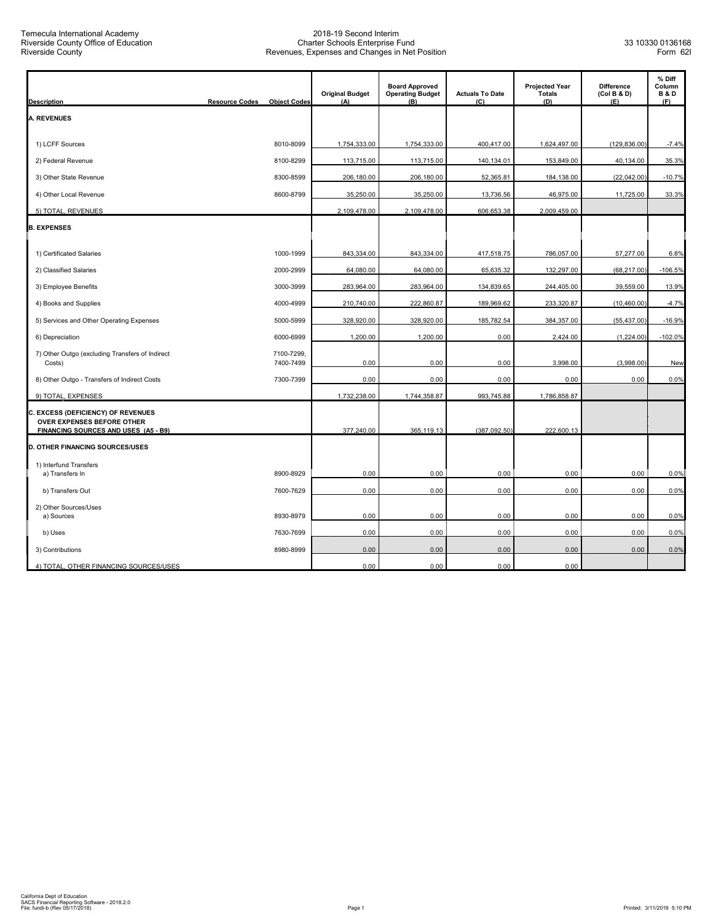| <b>Description</b>                                                                    | <b>Resource Codes</b><br><b>Object Codes</b> | <b>Original Budget</b><br>(A) | <b>Board Approved</b><br><b>Operating Budget</b><br>$(\overline{B})$ | <b>Actuals To Date</b><br>(C) | <b>Projected Year</b><br><b>Totals</b><br>(D) | <b>Difference</b><br>(Col B & D)<br>(E) | % Diff<br>Column<br><b>B&amp;D</b><br>(F) |
|---------------------------------------------------------------------------------------|----------------------------------------------|-------------------------------|----------------------------------------------------------------------|-------------------------------|-----------------------------------------------|-----------------------------------------|-------------------------------------------|
| <b>A. REVENUES</b>                                                                    |                                              |                               |                                                                      |                               |                                               |                                         |                                           |
| 1) LCFF Sources                                                                       | 8010-8099                                    | 1,754,333.00                  | 1,754,333.00                                                         | 400,417.00                    | 1,624,497.00                                  | (129, 836.00)                           | $-7.4%$                                   |
| 2) Federal Revenue                                                                    | 8100-8299                                    | 113,715.00                    | 113,715.00                                                           | 140,134.01                    | 153,849.00                                    | 40,134.00                               | 35.3%                                     |
| 3) Other State Revenue                                                                | 8300-8599                                    | 206,180.00                    | 206,180.00                                                           | 52,365.81                     | 184,138.00                                    | (22,042.00)                             | $-10.7%$                                  |
| 4) Other Local Revenue                                                                | 8600-8799                                    | 35,250.00                     | 35,250.00                                                            | 13,736.56                     | 46,975.00                                     | 11,725.00                               | 33.3%                                     |
| 5) TOTAL, REVENUES                                                                    |                                              | 2,109,478.00                  | 2,109,478.00                                                         | 606,653.38                    | 2,009,459.00                                  |                                         |                                           |
| <b>B. EXPENSES</b>                                                                    |                                              |                               |                                                                      |                               |                                               |                                         |                                           |
| 1) Certificated Salaries                                                              | 1000-1999                                    | 843,334.00                    | 843,334.00                                                           | 417,518.75                    | 786,057.00                                    | 57,277.00                               | 6.8%                                      |
| 2) Classified Salaries                                                                | 2000-2999                                    | 64,080.00                     | 64,080.00                                                            | 65,635.32                     | 132,297.00                                    | (68, 217.00)                            | $-106.5%$                                 |
| 3) Employee Benefits                                                                  | 3000-3999                                    | 283,964.00                    | 283,964.00                                                           | 134,839.65                    | 244,405.00                                    | 39,559.00                               | 13.9%                                     |
| 4) Books and Supplies                                                                 | 4000-4999                                    | 210,740.00                    | 222,860.87                                                           | 189,969.62                    | 233,320.87                                    | (10, 460.00)                            | $-4.7%$                                   |
| 5) Services and Other Operating Expenses                                              | 5000-5999                                    | 328,920.00                    | 328,920.00                                                           | 185,782.54                    | 384,357.00                                    | (55, 437.00)                            | $-16.9%$                                  |
| 6) Depreciation                                                                       | 6000-6999                                    | 1,200.00                      | 1,200.00                                                             | 0.00                          | 2,424.00                                      | (1,224.00)                              | $-102.0%$                                 |
| 7) Other Outgo (excluding Transfers of Indirect<br>Costs)                             | 7100-7299.<br>7400-7499                      | 0.00                          | 0.00                                                                 | 0.00                          | 3,998.00                                      | (3,998.00)                              | New                                       |
| 8) Other Outgo - Transfers of Indirect Costs                                          | 7300-7399                                    | 0.00                          | 0.00                                                                 | 0.00                          | 0.00                                          | 0.00                                    | 0.0%                                      |
| 9) TOTAL, EXPENSES                                                                    |                                              | 1,732,238.00                  | 1,744,358.87                                                         | 993,745.88                    | 1,786,858.87                                  |                                         |                                           |
| C. EXCESS (DEFICIENCY) OF REVENUES<br><b>OVER EXPENSES BEFORE OTHER</b>               |                                              |                               |                                                                      |                               |                                               |                                         |                                           |
| <b>FINANCING SOURCES AND USES (A5 - B9)</b><br><b>D. OTHER FINANCING SOURCES/USES</b> |                                              | 377,240.00                    | 365,119.13                                                           | (387,092.50)                  | 222,600.13                                    |                                         |                                           |
| 1) Interfund Transfers                                                                |                                              |                               |                                                                      |                               |                                               |                                         |                                           |
| a) Transfers In                                                                       | 8900-8929                                    | 0.00                          | 0.00                                                                 | 0.00                          | 0.00                                          | 0.00                                    | 0.0%                                      |
| b) Transfers Out                                                                      | 7600-7629                                    | 0.00                          | 0.00                                                                 | 0.00                          | 0.00                                          | 0.00                                    | 0.0%                                      |
| 2) Other Sources/Uses<br>a) Sources                                                   | 8930-8979                                    | 0.00                          | 0.00                                                                 | 0.00                          | 0.00                                          | 0.00                                    | 0.0%                                      |
| b) Uses                                                                               | 7630-7699                                    | 0.00                          | 0.00                                                                 | 0.00                          | 0.00                                          | 0.00                                    | 0.0%                                      |
| 3) Contributions                                                                      | 8980-8999                                    | 0.00                          | 0.00                                                                 | 0.00                          | 0.00                                          | 0.00                                    | 0.0%                                      |
| 4) TOTAL, OTHER FINANCING SOURCES/USES                                                |                                              | 0.00                          | 0.00                                                                 | 0.00                          | 0.00                                          |                                         |                                           |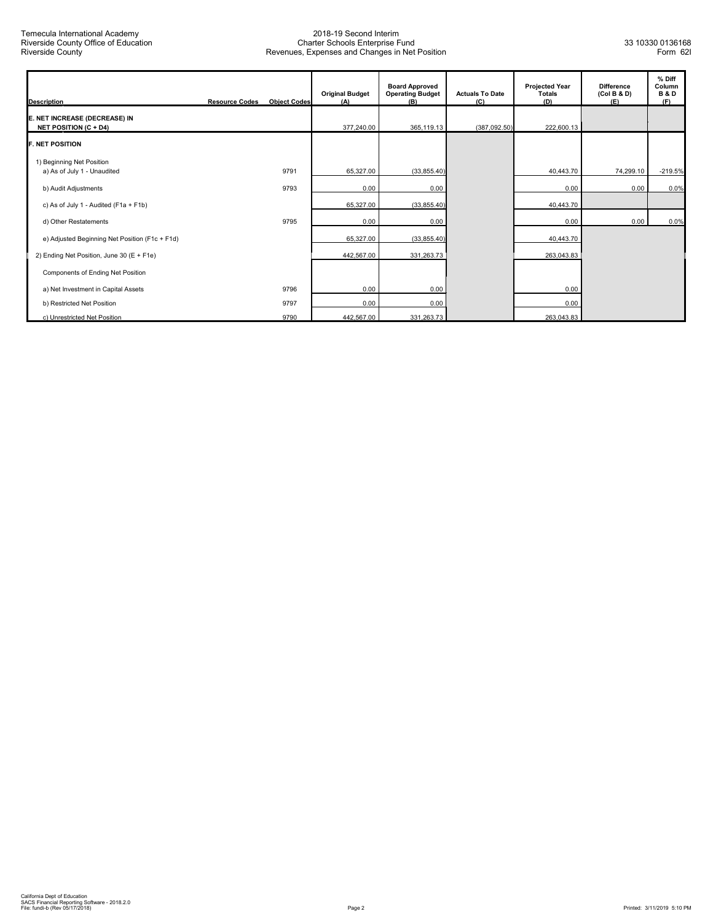| <b>Description</b>                                            | <b>Resource Codes</b> | <b>Object Codes</b> | <b>Original Budget</b><br>(A) | <b>Board Approved</b><br><b>Operating Budget</b><br>(B) | <b>Actuals To Date</b><br>(C) | <b>Projected Year</b><br><b>Totals</b><br>(D) | <b>Difference</b><br>(Col B & D)<br>(E) | % Diff<br>Column<br><b>B&amp;D</b><br>(F) |
|---------------------------------------------------------------|-----------------------|---------------------|-------------------------------|---------------------------------------------------------|-------------------------------|-----------------------------------------------|-----------------------------------------|-------------------------------------------|
| E. NET INCREASE (DECREASE) IN<br><b>NET POSITION (C + D4)</b> |                       |                     | 377,240.00                    | 365,119.13                                              | (387,092.50)                  | 222,600.13                                    |                                         |                                           |
| <b>F. NET POSITION</b>                                        |                       |                     |                               |                                                         |                               |                                               |                                         |                                           |
| 1) Beginning Net Position<br>a) As of July 1 - Unaudited      |                       | 9791                | 65,327.00                     | (33, 855.40)                                            |                               | 40,443.70                                     | 74,299.10                               | $-219.5%$                                 |
| b) Audit Adjustments                                          |                       | 9793                | 0.00                          | 0.00                                                    |                               | 0.00                                          | 0.00                                    | 0.0%                                      |
| c) As of July 1 - Audited (F1a + F1b)                         |                       |                     | 65,327.00                     | (33, 855.40)                                            |                               | 40,443.70                                     |                                         |                                           |
| d) Other Restatements                                         |                       | 9795                | 0.00                          | 0.00                                                    |                               | 0.00                                          | 0.00                                    | 0.0%                                      |
| e) Adjusted Beginning Net Position (F1c + F1d)                |                       |                     | 65,327.00                     | (33, 855.40)                                            |                               | 40,443.70                                     |                                         |                                           |
| 2) Ending Net Position, June 30 (E + F1e)                     |                       |                     | 442,567.00                    | 331,263.73                                              |                               | 263,043.83                                    |                                         |                                           |
| Components of Ending Net Position                             |                       |                     |                               |                                                         |                               |                                               |                                         |                                           |
| a) Net Investment in Capital Assets                           |                       | 9796                | 0.00                          | 0.00                                                    |                               | 0.00                                          |                                         |                                           |
| b) Restricted Net Position                                    |                       | 9797                | 0.00                          | 0.00                                                    |                               | 0.00                                          |                                         |                                           |
| c) Unrestricted Net Position                                  |                       | 9790                | 442,567.00                    | 331,263.73                                              |                               | 263,043.83                                    |                                         |                                           |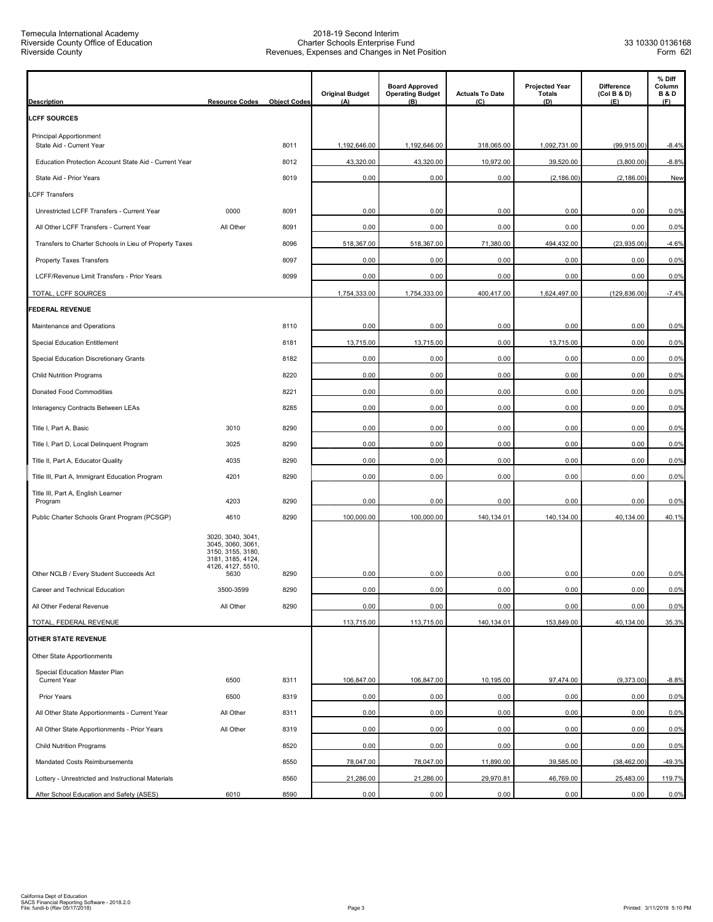| <b>Description</b>                                         | <b>Resource Codes</b>                                                                                         | <b>Object Codes</b> | <b>Original Budget</b><br>(A) | <b>Board Approved</b><br><b>Operating Budget</b><br>(B) | <b>Actuals To Date</b><br>(C) | <b>Projected Year</b><br><b>Totals</b><br>(D) | <b>Difference</b><br>(Col B & D)<br>(E) | % Diff<br>Column<br><b>B&amp;D</b><br>(F) |
|------------------------------------------------------------|---------------------------------------------------------------------------------------------------------------|---------------------|-------------------------------|---------------------------------------------------------|-------------------------------|-----------------------------------------------|-----------------------------------------|-------------------------------------------|
| <b>LCFF SOURCES</b>                                        |                                                                                                               |                     |                               |                                                         |                               |                                               |                                         |                                           |
| <b>Principal Apportionment</b><br>State Aid - Current Year |                                                                                                               | 8011                | 1,192,646.00                  | 1,192,646.00                                            | 318,065.00                    | 1,092,731.00                                  | (99, 915.00)                            | $-8.4%$                                   |
| Education Protection Account State Aid - Current Year      |                                                                                                               | 8012                | 43,320.00                     | 43,320.00                                               | 10,972.00                     | 39,520.00                                     | (3,800.00)                              | $-8.8%$                                   |
| State Aid - Prior Years                                    |                                                                                                               | 8019                | 0.00                          | 0.00                                                    | 0.00                          | (2, 186.00)                                   | (2, 186.00)                             | New                                       |
| <b>LCFF Transfers</b>                                      |                                                                                                               |                     |                               |                                                         |                               |                                               |                                         |                                           |
| Unrestricted LCFF Transfers - Current Year                 | 0000                                                                                                          | 8091                | 0.00                          | 0.00                                                    | 0.00                          | 0.00                                          | 0.00                                    | 0.0%                                      |
| All Other LCFF Transfers - Current Year                    | All Other                                                                                                     | 8091                | 0.00                          | 0.00                                                    | 0.00                          | 0.00                                          | 0.00                                    | 0.0%                                      |
| Transfers to Charter Schools in Lieu of Property Taxes     |                                                                                                               | 8096                | 518,367.00                    | 518,367.00                                              | 71,380.00                     | 494,432.00                                    | (23,935.00)                             | $-4.6%$                                   |
| <b>Property Taxes Transfers</b>                            |                                                                                                               | 8097                | 0.00                          | 0.00                                                    | 0.00                          | 0.00                                          | 0.00                                    | 0.0%                                      |
| LCFF/Revenue Limit Transfers - Prior Years                 |                                                                                                               | 8099                | 0.00                          | 0.00                                                    | 0.00                          | 0.00                                          | 0.00                                    | 0.0%                                      |
| TOTAL, LCFF SOURCES                                        |                                                                                                               |                     | 1,754,333.00                  | 1,754,333.00                                            | 400,417.00                    | 1,624,497.00                                  | (129, 836.00)                           | $-7.4%$                                   |
| <b>FEDERAL REVENUE</b>                                     |                                                                                                               |                     |                               |                                                         |                               |                                               |                                         |                                           |
| Maintenance and Operations                                 |                                                                                                               | 8110                | 0.00                          | 0.00                                                    | 0.00                          | 0.00                                          | 0.00                                    | 0.0%                                      |
| <b>Special Education Entitlement</b>                       |                                                                                                               | 8181                | 13,715.00                     | 13,715.00                                               | 0.00                          | 13,715.00                                     | 0.00                                    | 0.0%                                      |
| Special Education Discretionary Grants                     |                                                                                                               | 8182                | 0.00                          | 0.00                                                    | 0.00                          | 0.00                                          | 0.00                                    | 0.0%                                      |
| <b>Child Nutrition Programs</b>                            |                                                                                                               | 8220                | 0.00                          | 0.00                                                    | 0.00                          | 0.00                                          | 0.00                                    | 0.0%                                      |
| Donated Food Commodities                                   |                                                                                                               | 8221                | 0.00                          | 0.00                                                    | 0.00                          | 0.00                                          | 0.00                                    | 0.0%                                      |
| Interagency Contracts Between LEAs                         |                                                                                                               | 8285                | 0.00                          | 0.00                                                    | 0.00                          | 0.00                                          | 0.00                                    | 0.0%                                      |
| Title I, Part A, Basic                                     | 3010                                                                                                          | 8290                | 0.00                          | 0.00                                                    | 0.00                          | 0.00                                          | 0.00                                    | 0.0%                                      |
| Title I, Part D, Local Delinquent Program                  | 3025                                                                                                          | 8290                | 0.00                          | 0.00                                                    | 0.00                          | 0.00                                          | 0.00                                    | 0.0%                                      |
| Title II, Part A, Educator Quality                         | 4035                                                                                                          | 8290                | 0.00                          | 0.00                                                    | 0.00                          | 0.00                                          | 0.00                                    | 0.0%                                      |
| Title III, Part A, Immigrant Education Program             | 4201                                                                                                          | 8290                | 0.00                          | 0.00                                                    | 0.00                          | 0.00                                          | 0.00                                    | 0.0%                                      |
| Title III, Part A, English Learner<br>Program              | 4203                                                                                                          | 8290                | 0.00                          | 0.00                                                    | 0.00                          | 0.00                                          | 0.00                                    | 0.0%                                      |
| Public Charter Schools Grant Program (PCSGP)               | 4610                                                                                                          | 8290                | 100,000.00                    | 100,000.00                                              | 140,134.01                    | 140,134.00                                    | 40,134.00                               | 40.1%                                     |
| Other NCLB / Every Student Succeeds Act                    | 3020, 3040, 3041,<br>3045, 3060, 3061,<br>3150, 3155, 3180,<br>3181, 3185, 4124,<br>4126, 4127, 5510,<br>5630 | 8290                | 0.00                          | 0.00                                                    | 0.00                          | 0.00                                          | 0.00                                    | 0.0%                                      |
| Career and Technical Education                             | 3500-3599                                                                                                     | 8290                | 0.00                          | 0.00                                                    | 0.00                          | 0.00                                          | 0.00                                    | 0.0%                                      |
| All Other Federal Revenue                                  | All Other                                                                                                     | 8290                | 0.00                          | 0.00                                                    | 0.00                          | 0.00                                          | 0.00                                    | 0.0%                                      |
| TOTAL, FEDERAL REVENUE                                     |                                                                                                               |                     | 113,715.00                    | 113,715.00                                              | 140,134.01                    | 153,849.00                                    | 40,134.00                               | 35.3%                                     |
| <b>OTHER STATE REVENUE</b>                                 |                                                                                                               |                     |                               |                                                         |                               |                                               |                                         |                                           |
| Other State Apportionments                                 |                                                                                                               |                     |                               |                                                         |                               |                                               |                                         |                                           |
| Special Education Master Plan<br><b>Current Year</b>       | 6500                                                                                                          | 8311                | 106,847.00                    | 106,847.00                                              | 10,195.00                     | 97,474.00                                     | (9,373.00)                              | $-8.8%$                                   |
| Prior Years                                                | 6500                                                                                                          | 8319                | 0.00                          | 0.00                                                    | 0.00                          | 0.00                                          | 0.00                                    | 0.0%                                      |
| All Other State Apportionments - Current Year              | All Other                                                                                                     | 8311                | 0.00                          | 0.00                                                    | 0.00                          | 0.00                                          | 0.00                                    | 0.0%                                      |
| All Other State Apportionments - Prior Years               | All Other                                                                                                     | 8319                | 0.00                          | 0.00                                                    | 0.00                          | 0.00                                          | 0.00                                    | 0.0%                                      |
| <b>Child Nutrition Programs</b>                            |                                                                                                               | 8520                | 0.00                          | 0.00                                                    | 0.00                          | 0.00                                          | 0.00                                    | 0.0%                                      |
| Mandated Costs Reimbursements                              |                                                                                                               | 8550                | 78,047.00                     | 78,047.00                                               | 11,890.00                     | 39,585.00                                     | (38, 462.00)                            | $-49.3%$                                  |
| Lottery - Unrestricted and Instructional Materials         |                                                                                                               | 8560                | 21,286.00                     | 21,286.00                                               | 29,970.81                     | 46,769.00                                     | 25,483.00                               | 119.7%                                    |
| After School Education and Safety (ASES)                   | 6010                                                                                                          | 8590                | 0.00                          | 0.00                                                    | 0.00                          | 0.00                                          | 0.00                                    | 0.0%                                      |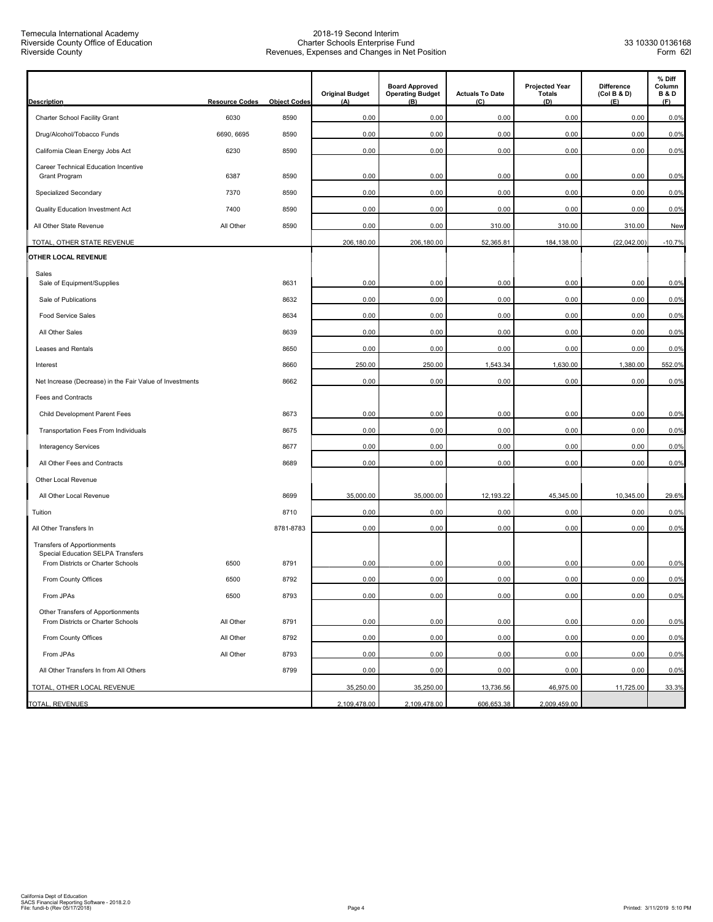Temecula International Academy Riverside County Office of Education Riverside County

| <b>Description</b>                                                     | <b>Resource Codes</b> | <b>Object Codes</b> | <b>Original Budget</b><br>(A) | <b>Board Approved</b><br><b>Operating Budget</b><br>(B) | <b>Actuals To Date</b><br>(C) | <b>Projected Year</b><br><b>Totals</b><br>(D) | <b>Difference</b><br>(Col B & D)<br>(E) | % Diff<br>Column<br><b>B&amp;D</b><br>(F) |
|------------------------------------------------------------------------|-----------------------|---------------------|-------------------------------|---------------------------------------------------------|-------------------------------|-----------------------------------------------|-----------------------------------------|-------------------------------------------|
| Charter School Facility Grant                                          | 6030                  | 8590                | 0.00                          | 0.00                                                    | 0.00                          | 0.00                                          | 0.00                                    | 0.0%                                      |
| Drug/Alcohol/Tobacco Funds                                             | 6690, 6695            | 8590                | 0.00                          | 0.00                                                    | 0.00                          | 0.00                                          | 0.00                                    | 0.0%                                      |
| California Clean Energy Jobs Act                                       | 6230                  | 8590                | 0.00                          | 0.00                                                    | 0.00                          | 0.00                                          | 0.00                                    | 0.0%                                      |
| Career Technical Education Incentive                                   |                       |                     |                               |                                                         |                               |                                               |                                         |                                           |
| Grant Program                                                          | 6387                  | 8590                | 0.00                          | 0.00                                                    | 0.00                          | 0.00                                          | 0.00                                    | 0.0%                                      |
| Specialized Secondary                                                  | 7370                  | 8590                | 0.00                          | 0.00                                                    | 0.00                          | 0.00                                          | 0.00                                    | 0.0%                                      |
| Quality Education Investment Act                                       | 7400                  | 8590                | 0.00                          | 0.00                                                    | 0.00                          | 0.00                                          | 0.00                                    | 0.0%                                      |
| All Other State Revenue                                                | All Other             | 8590                | 0.00                          | 0.00                                                    | 310.00                        | 310.00                                        | 310.00                                  | New                                       |
| TOTAL, OTHER STATE REVENUE                                             |                       |                     | 206,180.00                    | 206,180.00                                              | 52,365.81                     | 184,138.00                                    | (22,042.00)                             | $-10.7%$                                  |
| OTHER LOCAL REVENUE                                                    |                       |                     |                               |                                                         |                               |                                               |                                         |                                           |
| Sales<br>Sale of Equipment/Supplies                                    |                       | 8631                | 0.00                          | 0.00                                                    | 0.00                          | 0.00                                          | 0.00                                    | 0.0%                                      |
| Sale of Publications                                                   |                       | 8632                | 0.00                          | 0.00                                                    | 0.00                          | 0.00                                          | 0.00                                    | 0.0%                                      |
| Food Service Sales                                                     |                       | 8634                | 0.00                          | 0.00                                                    | 0.00                          | 0.00                                          | 0.00                                    | 0.0%                                      |
| All Other Sales                                                        |                       | 8639                | 0.00                          | 0.00                                                    | 0.00                          | 0.00                                          | 0.00                                    | 0.0%                                      |
| Leases and Rentals                                                     |                       | 8650                | 0.00                          | 0.00                                                    | 0.00                          | 0.00                                          | 0.00                                    | 0.0%                                      |
| Interest                                                               |                       | 8660                | 250.00                        | 250.00                                                  | 1,543.34                      | 1,630.00                                      | 1,380.00                                | 552.0%                                    |
| Net Increase (Decrease) in the Fair Value of Investments               |                       | 8662                | 0.00                          | 0.00                                                    | 0.00                          | 0.00                                          | 0.00                                    | 0.0%                                      |
| Fees and Contracts                                                     |                       |                     |                               |                                                         |                               |                                               |                                         |                                           |
| Child Development Parent Fees                                          |                       | 8673                | 0.00                          | 0.00                                                    | 0.00                          | 0.00                                          | 0.00                                    | 0.0%                                      |
| Transportation Fees From Individuals                                   |                       | 8675                | 0.00                          | 0.00                                                    | 0.00                          | 0.00                                          | 0.00                                    | 0.0%                                      |
| <b>Interagency Services</b>                                            |                       | 8677                | 0.00                          | 0.00                                                    | 0.00                          | 0.00                                          | 0.00                                    | 0.0%                                      |
| All Other Fees and Contracts                                           |                       | 8689                | 0.00                          | 0.00                                                    | 0.00                          | 0.00                                          | 0.00                                    | 0.0%                                      |
| Other Local Revenue                                                    |                       |                     |                               |                                                         |                               |                                               |                                         |                                           |
| All Other Local Revenue                                                |                       | 8699                | 35,000.00                     | 35,000.00                                               | 12,193.22                     | 45,345.00                                     | 10,345.00                               | 29.6%                                     |
| Tuition                                                                |                       | 8710                | 0.00                          | 0.00                                                    | 0.00                          | 0.00                                          | 0.00                                    | 0.0%                                      |
| All Other Transfers In                                                 |                       | 8781-8783           | 0.00                          | 0.00                                                    | 0.00                          | 0.00                                          | 0.00                                    | 0.0%                                      |
| Transfers of Apportionments                                            |                       |                     |                               |                                                         |                               |                                               |                                         |                                           |
| Special Education SELPA Transfers<br>From Districts or Charter Schools | 6500                  | 8791                | 0.00                          | 0.00                                                    | 0.00                          | 0.00                                          | 0.00                                    | 0.0%                                      |
| From County Offices                                                    | 6500                  | 8792                | 0.00                          | 0.00                                                    | 0.00                          | 0.00                                          | 0.00                                    | 0.0%                                      |
| From JPAs                                                              | 6500                  | 8793                | 0.00                          | 0.00                                                    | 0.00                          | 0.00                                          | 0.00                                    | 0.0%                                      |
| Other Transfers of Apportionments<br>From Districts or Charter Schools | All Other             | 8791                | 0.00                          | 0.00                                                    | 0.00                          | 0.00                                          | 0.00                                    | 0.0%                                      |
| From County Offices                                                    | All Other             | 8792                | 0.00                          | 0.00                                                    | 0.00                          | 0.00                                          | 0.00                                    | 0.0%                                      |
| From JPAs                                                              | All Other             | 8793                | 0.00                          | 0.00                                                    | 0.00                          | 0.00                                          | 0.00                                    | 0.0%                                      |
| All Other Transfers In from All Others                                 |                       | 8799                | 0.00                          | 0.00                                                    | 0.00                          | 0.00                                          | 0.00                                    | 0.0%                                      |
| TOTAL, OTHER LOCAL REVENUE                                             |                       |                     | 35,250.00                     | 35,250.00                                               | 13,736.56                     | 46,975.00                                     | 11,725.00                               | 33.3%                                     |
| <b>TOTAL, REVENUES</b>                                                 |                       |                     | 2,109,478.00                  | 2,109,478.00                                            | 606,653.38                    | 2,009,459.00                                  |                                         |                                           |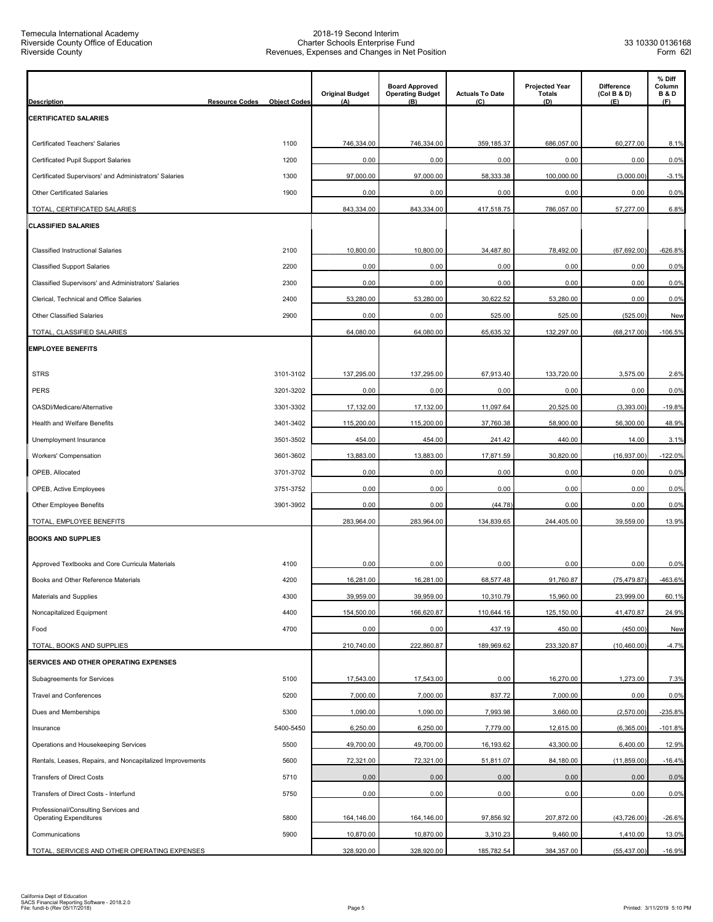| <b>Description</b>                                                    | <b>Resource Codes</b><br><b>Object Codes</b> | <b>Original Budget</b><br>(A) | <b>Board Approved</b><br><b>Operating Budget</b><br>(B) | <b>Actuals To Date</b><br>(C) | <b>Projected Year</b><br><b>Totals</b><br>(D) | Difference<br>(Col B & D)<br>(E) | % Diff<br>Column<br><b>B&amp;D</b><br>(F) |
|-----------------------------------------------------------------------|----------------------------------------------|-------------------------------|---------------------------------------------------------|-------------------------------|-----------------------------------------------|----------------------------------|-------------------------------------------|
| <b>CERTIFICATED SALARIES</b>                                          |                                              |                               |                                                         |                               |                                               |                                  |                                           |
| Certificated Teachers' Salaries                                       | 1100                                         | 746,334.00                    | 746,334.00                                              | 359,185.37                    | 686,057.00                                    | 60,277.00                        | 8.1%                                      |
| Certificated Pupil Support Salaries                                   | 1200                                         | 0.00                          | 0.00                                                    | 0.00                          | 0.00                                          | 0.00                             | 0.0%                                      |
| Certificated Supervisors' and Administrators' Salaries                | 1300                                         | 97,000.00                     | 97,000.00                                               | 58,333.38                     | 100,000.00                                    | (3,000.00)                       | $-3.1%$                                   |
| <b>Other Certificated Salaries</b>                                    | 1900                                         | 0.00                          | 0.00                                                    | 0.00                          | 0.00                                          | 0.00                             | 0.0%                                      |
| TOTAL, CERTIFICATED SALARIES                                          |                                              | 843,334.00                    | 843,334.00                                              | 417,518.75                    | 786,057.00                                    | 57,277.00                        | 6.8%                                      |
| <b>CLASSIFIED SALARIES</b>                                            |                                              |                               |                                                         |                               |                                               |                                  |                                           |
| <b>Classified Instructional Salaries</b>                              | 2100                                         | 10,800.00                     | 10,800.00                                               | 34,487.80                     | 78,492.00                                     | (67, 692.00)                     | $-626.8%$                                 |
| <b>Classified Support Salaries</b>                                    | 2200                                         | 0.00                          | 0.00                                                    | 0.00                          | 0.00                                          | 0.00                             | 0.0%                                      |
| Classified Supervisors' and Administrators' Salaries                  | 2300                                         | 0.00                          | 0.00                                                    | 0.00                          | 0.00                                          | 0.00                             | 0.0%                                      |
| Clerical, Technical and Office Salaries                               | 2400                                         | 53,280.00                     | 53,280.00                                               | 30,622.52                     | 53,280.00                                     | 0.00                             | 0.0%                                      |
| Other Classified Salaries                                             | 2900                                         | 0.00                          | 0.00                                                    | 525.00                        | 525.00                                        | (525.00)                         | New                                       |
| TOTAL, CLASSIFIED SALARIES                                            |                                              | 64,080.00                     | 64,080.00                                               | 65,635.32                     | 132,297.00                                    | (68, 217.00)                     | $-106.5%$                                 |
| <b>EMPLOYEE BENEFITS</b>                                              |                                              |                               |                                                         |                               |                                               |                                  |                                           |
|                                                                       |                                              |                               |                                                         |                               |                                               |                                  |                                           |
| <b>STRS</b>                                                           | 3101-3102                                    | 137,295.00                    | 137,295.00                                              | 67,913.40                     | 133,720.00                                    | 3,575.00                         | 2.6%                                      |
| <b>PERS</b>                                                           | 3201-3202                                    | 0.00                          | 0.00                                                    | 0.00                          | 0.00                                          | 0.00                             | 0.0%                                      |
| OASDI/Medicare/Alternative                                            | 3301-3302                                    | 17,132.00                     | 17,132.00                                               | 11,097.64                     | 20,525.00                                     | (3,393.00)                       | $-19.8%$                                  |
| Health and Welfare Benefits                                           | 3401-3402                                    | 115,200.00                    | 115,200.00                                              | 37,760.38                     | 58,900.00                                     | 56,300.00                        | 48.9%                                     |
| Unemployment Insurance                                                | 3501-3502                                    | 454.00                        | 454.00                                                  | 241.42                        | 440.00                                        | 14.00                            | 3.1%                                      |
| Workers' Compensation                                                 | 3601-3602                                    | 13,883.00                     | 13,883.00                                               | 17,871.59                     | 30,820.00                                     | (16, 937.00)                     | $-122.0%$                                 |
| OPEB, Allocated                                                       | 3701-3702                                    | 0.00                          | 0.00                                                    | 0.00                          | 0.00                                          | 0.00                             | 0.0%                                      |
| OPEB, Active Employees                                                | 3751-3752                                    | 0.00                          | 0.00                                                    | 0.00                          | 0.00                                          | 0.00                             | 0.0%                                      |
| Other Employee Benefits                                               | 3901-3902                                    | 0.00                          | 0.00                                                    | (44.78)                       | 0.00                                          | 0.00                             | 0.0%                                      |
| TOTAL, EMPLOYEE BENEFITS                                              |                                              | 283.964.00                    | 283,964.00                                              | 134,839.65                    | 244,405.00                                    | 39.559.00                        | 13.9%                                     |
| <b>BOOKS AND SUPPLIES</b>                                             |                                              |                               |                                                         |                               |                                               |                                  |                                           |
| Approved Textbooks and Core Curricula Materials                       | 4100                                         | 0.00                          | 0.00                                                    | 0.00                          | 0.00                                          | 0.00                             | 0.0%                                      |
| Books and Other Reference Materials                                   | 4200                                         | 16,281.00                     | 16,281.00                                               | 68,577.48                     | 91,760.87                                     | (75, 479.87)                     | -463.6%                                   |
| Materials and Supplies                                                | 4300                                         | 39,959.00                     | 39,959.00                                               | 10,310.79                     | 15,960.00                                     | 23,999.00                        | 60.1%                                     |
| Noncapitalized Equipment                                              | 4400                                         | 154,500.00                    | 166,620.87                                              | 110,644.16                    | 125,150.00                                    | 41,470.87                        | 24.9%                                     |
| Food                                                                  | 4700                                         | 0.00                          | 0.00                                                    | 437.19                        | 450.00                                        | (450.00)                         | New                                       |
| TOTAL, BOOKS AND SUPPLIES                                             |                                              | 210,740.00                    | 222,860.87                                              | 189,969.62                    | 233,320.87                                    | (10, 460.00)                     | $-4.7%$                                   |
| <b>SERVICES AND OTHER OPERATING EXPENSES</b>                          |                                              |                               |                                                         |                               |                                               |                                  |                                           |
| Subagreements for Services                                            | 5100                                         | 17,543.00                     | 17,543.00                                               | 0.00                          | 16,270.00                                     | 1,273.00                         | 7.3%                                      |
| <b>Travel and Conferences</b>                                         | 5200                                         | 7,000.00                      | 7,000.00                                                | 837.72                        | 7,000.00                                      | 0.00                             | 0.0%                                      |
| Dues and Memberships                                                  | 5300                                         | 1,090.00                      | 1,090.00                                                | 7,993.98                      | 3,660.00                                      | (2,570.00)                       | $-235.8%$                                 |
| Insurance                                                             | 5400-5450                                    | 6,250.00                      | 6,250.00                                                | 7,779.00                      | 12,615.00                                     | (6,365.00)                       | $-101.8%$                                 |
| Operations and Housekeeping Services                                  | 5500                                         | 49,700.00                     | 49,700.00                                               | 16,193.62                     | 43,300.00                                     | 6,400.00                         | 12.9%                                     |
| Rentals, Leases, Repairs, and Noncapitalized Improvements             | 5600                                         | 72,321.00                     | 72,321.00                                               | 51,811.07                     | 84,180.00                                     | (11, 859.00)                     | $-16.4%$                                  |
| <b>Transfers of Direct Costs</b>                                      | 5710                                         | 0.00                          | 0.00                                                    | 0.00                          | 0.00                                          | 0.00                             | 0.0%                                      |
| Transfers of Direct Costs - Interfund                                 | 5750                                         | 0.00                          | 0.00                                                    | 0.00                          | 0.00                                          | 0.00                             | 0.0%                                      |
| Professional/Consulting Services and<br><b>Operating Expenditures</b> | 5800                                         | 164,146.00                    | 164,146.00                                              | 97,856.92                     | 207,872.00                                    | (43, 726.00)                     | $-26.6%$                                  |
| Communications                                                        | 5900                                         | 10,870.00                     | 10,870.00                                               | 3,310.23                      | 9,460.00                                      | 1,410.00                         | 13.0%                                     |
| TOTAL, SERVICES AND OTHER OPERATING EXPENSES                          |                                              | 328,920.00                    | 328,920.00                                              | 185,782.54                    | 384,357.00                                    | (55, 437.00)                     | $-16.9%$                                  |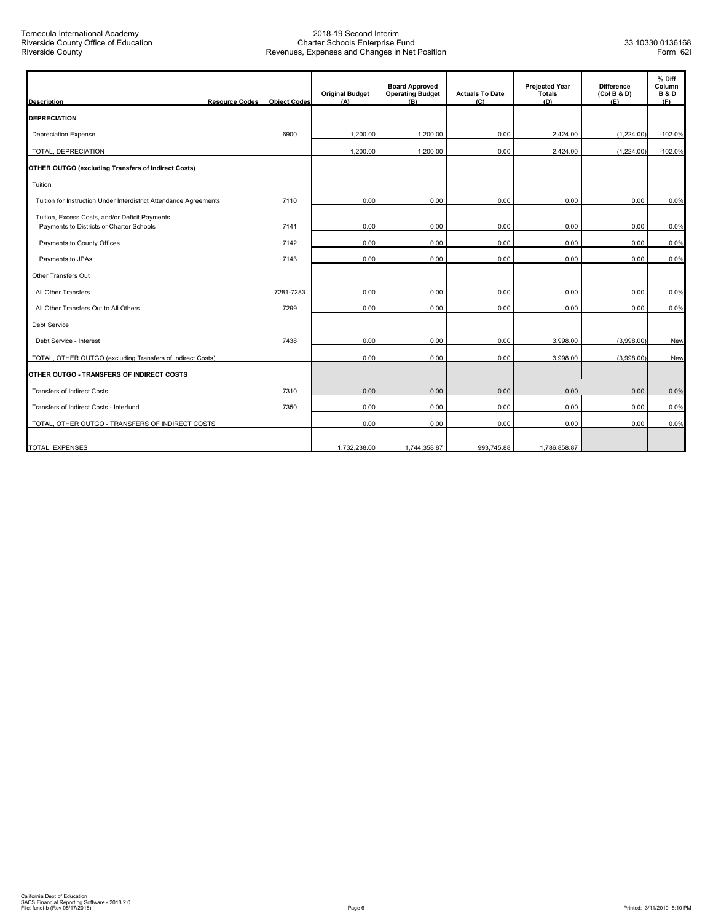| <b>Description</b>                                                                         | <b>Resource Codes</b> | <b>Object Codes</b> | <b>Original Budget</b><br>(A) | <b>Board Approved</b><br><b>Operating Budget</b><br>(B) | <b>Actuals To Date</b><br>(C) | <b>Projected Year</b><br>Totals<br>(D) | <b>Difference</b><br>(Col B & D)<br>(E) | % Diff<br>Column<br><b>B&amp;D</b><br>(F) |
|--------------------------------------------------------------------------------------------|-----------------------|---------------------|-------------------------------|---------------------------------------------------------|-------------------------------|----------------------------------------|-----------------------------------------|-------------------------------------------|
| <b>DEPRECIATION</b>                                                                        |                       |                     |                               |                                                         |                               |                                        |                                         |                                           |
| <b>Depreciation Expense</b>                                                                |                       | 6900                | 1,200.00                      | 1.200.00                                                | 0.00                          | 2.424.00                               | (1,224.00)                              | $-102.0%$                                 |
| TOTAL, DEPRECIATION                                                                        |                       |                     | 1,200.00                      | 1,200.00                                                | 0.00                          | 2,424.00                               | (1,224.00)                              | $-102.0%$                                 |
| OTHER OUTGO (excluding Transfers of Indirect Costs)                                        |                       |                     |                               |                                                         |                               |                                        |                                         |                                           |
| Tuition                                                                                    |                       |                     |                               |                                                         |                               |                                        |                                         |                                           |
| Tuition for Instruction Under Interdistrict Attendance Agreements                          |                       | 7110                | 0.00                          | 0.00                                                    | 0.00                          | 0.00                                   | 0.00                                    | 0.0%                                      |
| Tuition, Excess Costs, and/or Deficit Payments<br>Payments to Districts or Charter Schools |                       | 7141                | 0.00                          | 0.00                                                    | 0.00                          | 0.00                                   | 0.00                                    | 0.0%                                      |
| Payments to County Offices                                                                 |                       | 7142                | 0.00                          | 0.00                                                    | 0.00                          | 0.00                                   | 0.00                                    | 0.0%                                      |
| Payments to JPAs                                                                           |                       | 7143                | 0.00                          | 0.00                                                    | 0.00                          | 0.00                                   | 0.00                                    | 0.0%                                      |
| Other Transfers Out                                                                        |                       |                     |                               |                                                         |                               |                                        |                                         |                                           |
| All Other Transfers                                                                        |                       | 7281-7283           | 0.00                          | 0.00                                                    | 0.00                          | 0.00                                   | 0.00                                    | 0.0%                                      |
| All Other Transfers Out to All Others                                                      |                       | 7299                | 0.00                          | 0.00                                                    | 0.00                          | 0.00                                   | 0.00                                    | 0.0%                                      |
| <b>Debt Service</b>                                                                        |                       |                     |                               |                                                         |                               |                                        |                                         |                                           |
| Debt Service - Interest                                                                    |                       | 7438                | 0.00                          | 0.00                                                    | 0.00                          | 3,998.00                               | (3,998.00)                              | New                                       |
| TOTAL, OTHER OUTGO (excluding Transfers of Indirect Costs)                                 |                       |                     | 0.00                          | 0.00                                                    | 0.00                          | 3,998.00                               | (3,998.00)                              | New                                       |
| OTHER OUTGO - TRANSFERS OF INDIRECT COSTS                                                  |                       |                     |                               |                                                         |                               |                                        |                                         |                                           |
| <b>Transfers of Indirect Costs</b>                                                         |                       | 7310                | 0.00                          | 0.00                                                    | 0.00                          | 0.00                                   | 0.00                                    | 0.0%                                      |
| Transfers of Indirect Costs - Interfund                                                    |                       | 7350                | 0.00                          | 0.00                                                    | 0.00                          | 0.00                                   | 0.00                                    | 0.0%                                      |
| TOTAL, OTHER OUTGO - TRANSFERS OF INDIRECT COSTS                                           |                       |                     | 0.00                          | 0.00                                                    | 0.00                          | 0.00                                   | 0.00                                    | 0.0%                                      |
| TOTAL, EXPENSES                                                                            |                       |                     | 1,732,238.00                  | 1,744,358.87                                            | 993,745.88                    | 1,786,858.87                           |                                         |                                           |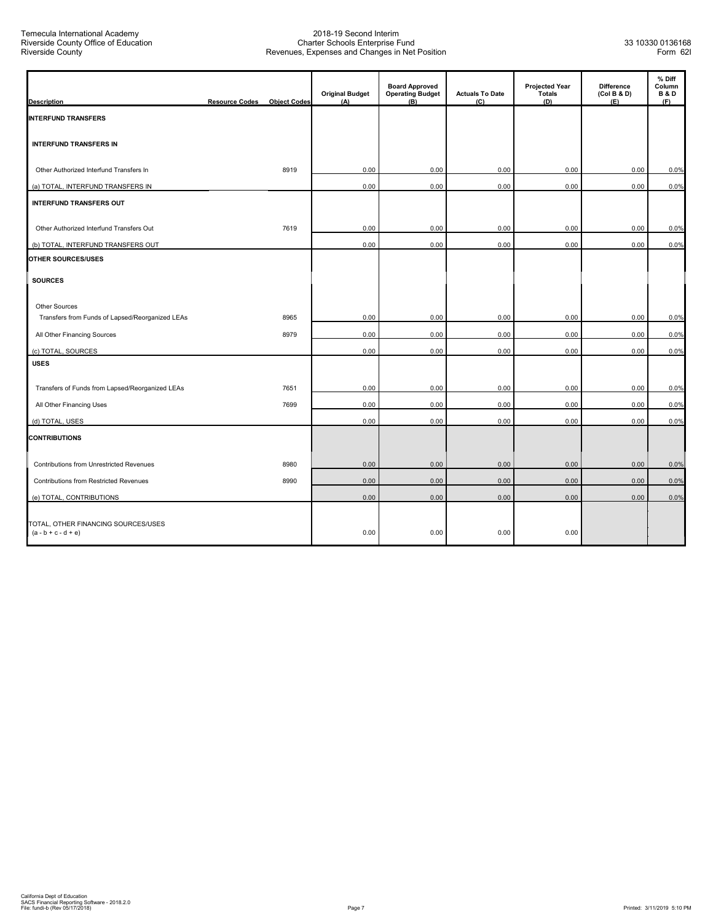| <b>Description</b>                                           | <b>Resource Codes</b> | <b>Object Codes</b> | <b>Original Budget</b><br>(A) | <b>Board Approved</b><br><b>Operating Budget</b><br>$(\overline{B})$ | <b>Actuals To Date</b><br>(C) | <b>Projected Year</b><br><b>Totals</b><br>(D) | <b>Difference</b><br>(Col B & D)<br>(E) | % Diff<br>Column<br><b>B&amp;D</b><br>(F) |
|--------------------------------------------------------------|-----------------------|---------------------|-------------------------------|----------------------------------------------------------------------|-------------------------------|-----------------------------------------------|-----------------------------------------|-------------------------------------------|
| <b>INTERFUND TRANSFERS</b>                                   |                       |                     |                               |                                                                      |                               |                                               |                                         |                                           |
| <b>INTERFUND TRANSFERS IN</b>                                |                       |                     |                               |                                                                      |                               |                                               |                                         |                                           |
| Other Authorized Interfund Transfers In                      |                       | 8919                | 0.00                          | 0.00                                                                 | 0.00                          | 0.00                                          | 0.00                                    | 0.0%                                      |
| (a) TOTAL, INTERFUND TRANSFERS IN                            |                       |                     | 0.00                          | 0.00                                                                 | 0.00                          | 0.00                                          | 0.00                                    | 0.0%                                      |
| <b>INTERFUND TRANSFERS OUT</b>                               |                       |                     |                               |                                                                      |                               |                                               |                                         |                                           |
| Other Authorized Interfund Transfers Out                     |                       | 7619                | 0.00                          | 0.00                                                                 | 0.00                          | 0.00                                          | 0.00                                    | 0.0%                                      |
| (b) TOTAL, INTERFUND TRANSFERS OUT                           |                       |                     | 0.00                          | 0.00                                                                 | 0.00                          | 0.00                                          | 0.00                                    | 0.0%                                      |
| OTHER SOURCES/USES                                           |                       |                     |                               |                                                                      |                               |                                               |                                         |                                           |
| <b>SOURCES</b>                                               |                       |                     |                               |                                                                      |                               |                                               |                                         |                                           |
| <b>Other Sources</b>                                         |                       |                     |                               |                                                                      |                               |                                               |                                         |                                           |
| Transfers from Funds of Lapsed/Reorganized LEAs              |                       | 8965                | 0.00                          | 0.00                                                                 | 0.00                          | 0.00                                          | 0.00                                    | 0.0%                                      |
| All Other Financing Sources                                  |                       | 8979                | 0.00                          | 0.00                                                                 | 0.00                          | 0.00                                          | 0.00                                    | 0.0%                                      |
| (c) TOTAL, SOURCES<br><b>USES</b>                            |                       |                     | 0.00                          | 0.00                                                                 | 0.00                          | 0.00                                          | 0.00                                    | 0.0%                                      |
| Transfers of Funds from Lapsed/Reorganized LEAs              |                       | 7651                | 0.00                          | 0.00                                                                 | 0.00                          | 0.00                                          | 0.00                                    | 0.0%                                      |
| All Other Financing Uses                                     |                       | 7699                | 0.00                          | 0.00                                                                 | 0.00                          | 0.00                                          | 0.00                                    | 0.0%                                      |
| (d) TOTAL, USES                                              |                       |                     | 0.00                          | 0.00                                                                 | 0.00                          | 0.00                                          | 0.00                                    | 0.0%                                      |
| <b>CONTRIBUTIONS</b>                                         |                       |                     |                               |                                                                      |                               |                                               |                                         |                                           |
| Contributions from Unrestricted Revenues                     |                       | 8980                | 0.00                          | 0.00                                                                 | 0.00                          | 0.00                                          | 0.00                                    | 0.0%                                      |
| Contributions from Restricted Revenues                       |                       | 8990                | 0.00                          | 0.00                                                                 | 0.00                          | 0.00                                          | 0.00                                    | 0.0%                                      |
| (e) TOTAL, CONTRIBUTIONS                                     |                       |                     | 0.00                          | 0.00                                                                 | 0.00                          | 0.00                                          | 0.00                                    | 0.0%                                      |
| TOTAL, OTHER FINANCING SOURCES/USES<br>$(a - b + c - d + e)$ |                       |                     | 0.00                          | 0.00                                                                 | 0.00                          | 0.00                                          |                                         |                                           |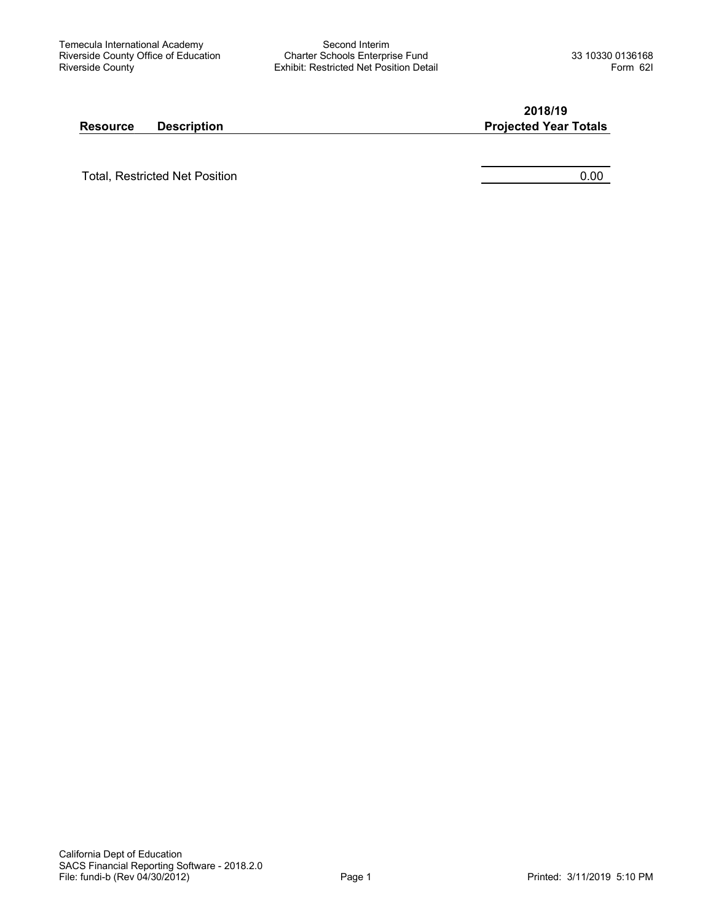Second Interim Charter Schools Enterprise Fund Exhibit: Restricted Net Position Detail

**2018/19**

#### **Resource Description <b>Projected Year Totals**

Total, Restricted Net Position **0.00** and the contract of the contract of the contract of the contract of the contract of the contract of the contract of the contract of the contract of the contract of the contract of the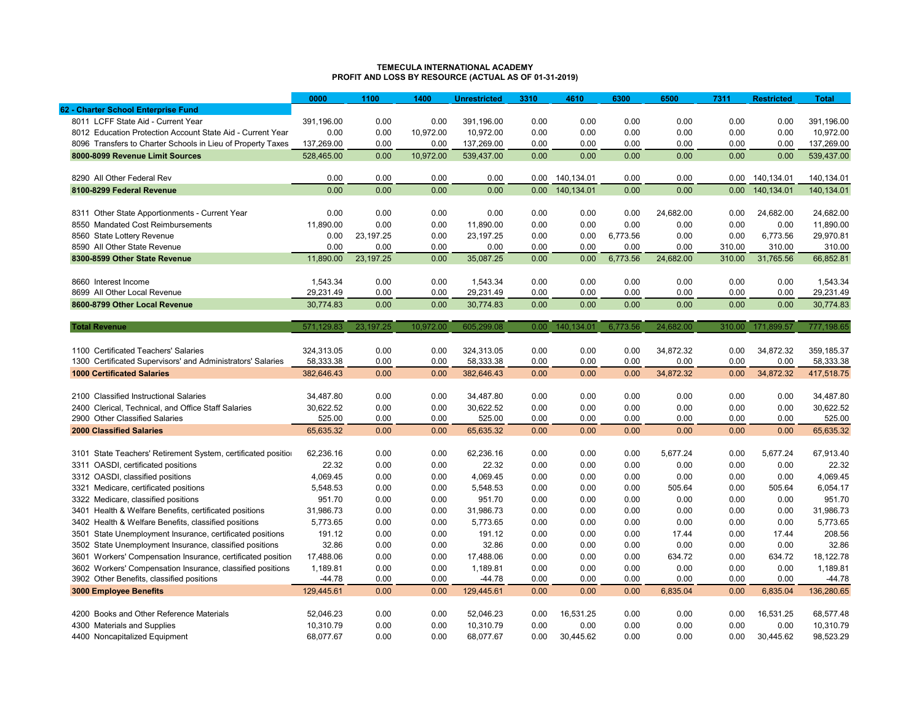#### **TEMECULA INTERNATIONAL ACADEMYPROFIT AND LOSS BY RESOURCE (ACTUAL AS OF 01-31-2019)**

|                                                                  | 0000       | 1100        | 1400      | <b>Unrestricted</b> | 3310 | 4610       | 6300     | 6500      | 7311   | <b>Restricted</b> | <b>Total</b> |
|------------------------------------------------------------------|------------|-------------|-----------|---------------------|------|------------|----------|-----------|--------|-------------------|--------------|
| 62 - Charter School Enterprise Fund                              |            |             |           |                     |      |            |          |           |        |                   |              |
| 8011 LCFF State Aid - Current Year                               | 391,196.00 | 0.00        | 0.00      | 391,196.00          | 0.00 | 0.00       | 0.00     | 0.00      | 0.00   | 0.00              | 391,196.00   |
| 8012 Education Protection Account State Aid - Current Year       | 0.00       | 0.00        | 10,972.00 | 10,972.00           | 0.00 | 0.00       | 0.00     | 0.00      | 0.00   | 0.00              | 10,972.00    |
| 8096 Transfers to Charter Schools in Lieu of Property Taxes      | 137,269.00 | 0.00        | 0.00      | 137,269.00          | 0.00 | 0.00       | 0.00     | 0.00      | 0.00   | 0.00              | 137,269.00   |
| 8000-8099 Revenue Limit Sources                                  | 528.465.00 | 0.00        | 10.972.00 | 539.437.00          | 0.00 | 0.00       | 0.00     | 0.00      | 0.00   | 0.00              | 539,437.00   |
|                                                                  |            |             |           |                     |      |            |          |           |        |                   |              |
| 8290 All Other Federal Rev                                       | 0.00       | 0.00        | 0.00      | 0.00                | 0.00 | 140,134.01 | 0.00     | 0.00      | 0.00   | 140,134.01        | 140,134.01   |
| 8100-8299 Federal Revenue                                        | 0.00       | 0.00        | 0.00      | 0.00                | 0.00 | 140.134.01 | 0.00     | 0.00      | 0.00   | 140.134.01        | 140.134.01   |
|                                                                  |            |             |           |                     |      |            |          |           |        |                   |              |
| 8311 Other State Apportionments - Current Year                   | 0.00       | 0.00        | 0.00      | 0.00                | 0.00 | 0.00       | 0.00     | 24,682.00 | 0.00   | 24,682.00         | 24.682.00    |
| <b>Mandated Cost Reimbursements</b><br>8550                      | 11,890.00  | 0.00        | 0.00      | 11,890.00           | 0.00 | 0.00       | 0.00     | 0.00      | 0.00   | 0.00              | 11,890.00    |
| 8560 State Lottery Revenue                                       | 0.00       | 23,197.25   | 0.00      | 23,197.25           | 0.00 | 0.00       | 6,773.56 | 0.00      | 0.00   | 6,773.56          | 29,970.81    |
| 8590 All Other State Revenue                                     | 0.00       | 0.00        | 0.00      | 0.00                | 0.00 | 0.00       | 0.00     | 0.00      | 310.00 | 310.00            | 310.00       |
| 8300-8599 Other State Revenue                                    | 11,890.00  | 23,197.25   | 0.00      | 35,087.25           | 0.00 | 0.00       | 6,773.56 | 24,682.00 | 310.00 | 31,765.56         | 66,852.81    |
|                                                                  |            |             |           |                     |      |            |          |           |        |                   |              |
| 8660 Interest Income                                             | 1.543.34   | 0.00        | 0.00      | 1,543.34            | 0.00 | 0.00       | 0.00     | 0.00      | 0.00   | 0.00              | 1.543.34     |
| 8699 All Other Local Revenue                                     | 29,231.49  | 0.00        | 0.00      | 29,231.49           | 0.00 | 0.00       | 0.00     | 0.00      | 0.00   | 0.00              | 29,231.49    |
| 8600-8799 Other Local Revenue                                    | 30,774.83  | 0.00        | 0.00      | 30,774.83           | 0.00 | 0.00       | 0.00     | 0.00      | 0.00   | 0.00              | 30,774.83    |
|                                                                  |            |             |           |                     |      |            |          |           |        |                   |              |
| <b>Total Revenue</b>                                             | 571,129.83 | 23, 197. 25 | 10,972.00 | 605,299.08          | 0.00 | 140,134.01 | 6,773.56 | 24,682.00 | 310.00 | 171,899.57        | 777,198.65   |
|                                                                  |            |             |           |                     |      |            |          |           |        |                   |              |
| 1100 Certificated Teachers' Salaries                             | 324,313.05 | 0.00        | 0.00      | 324,313.05          | 0.00 | 0.00       | 0.00     | 34,872.32 | 0.00   | 34,872.32         | 359,185.37   |
| 1300 Certificated Supervisors' and Administrators' Salaries      | 58,333.38  | 0.00        | 0.00      | 58,333.38           | 0.00 | 0.00       | 0.00     | 0.00      | 0.00   | 0.00              | 58,333.38    |
| <b>1000 Certificated Salaries</b>                                | 382.646.43 | 0.00        | 0.00      | 382.646.43          | 0.00 | 0.00       | 0.00     | 34,872.32 | 0.00   | 34.872.32         | 417,518.75   |
|                                                                  |            |             |           |                     |      |            |          |           |        |                   |              |
| 2100 Classified Instructional Salaries                           | 34.487.80  | 0.00        | 0.00      | 34.487.80           | 0.00 | 0.00       | 0.00     | 0.00      | 0.00   | 0.00              | 34,487.80    |
| Clerical, Technical, and Office Staff Salaries<br>2400           | 30,622.52  | 0.00        | 0.00      | 30,622.52           | 0.00 | 0.00       | 0.00     | 0.00      | 0.00   | 0.00              | 30,622.52    |
| 2900 Other Classified Salaries                                   | 525.00     | 0.00        | 0.00      | 525.00              | 0.00 | 0.00       | 0.00     | 0.00      | 0.00   | 0.00              | 525.00       |
| <b>2000 Classified Salaries</b>                                  | 65,635.32  | 0.00        | 0.00      | 65,635.32           | 0.00 | 0.00       | 0.00     | 0.00      | 0.00   | 0.00              | 65,635.32    |
|                                                                  |            |             |           |                     |      |            |          |           |        |                   |              |
| State Teachers' Retirement System, certificated position<br>3101 | 62,236.16  | 0.00        | 0.00      | 62,236.16           | 0.00 | 0.00       | 0.00     | 5,677.24  | 0.00   | 5,677.24          | 67,913.40    |
| OASDI, certificated positions<br>3311                            | 22.32      | 0.00        | 0.00      | 22.32               | 0.00 | 0.00       | 0.00     | 0.00      | 0.00   | 0.00              | 22.32        |
| 3312 OASDI, classified positions                                 | 4,069.45   | 0.00        | 0.00      | 4,069.45            | 0.00 | 0.00       | 0.00     | 0.00      | 0.00   | 0.00              | 4,069.45     |
| 3321 Medicare, certificated positions                            | 5,548.53   | 0.00        | 0.00      | 5,548.53            | 0.00 | 0.00       | 0.00     | 505.64    | 0.00   | 505.64            | 6,054.17     |
| 3322 Medicare, classified positions                              | 951.70     | 0.00        | 0.00      | 951.70              | 0.00 | 0.00       | 0.00     | 0.00      | 0.00   | 0.00              | 951.70       |
| 3401 Health & Welfare Benefits, certificated positions           | 31,986.73  | 0.00        | 0.00      | 31,986.73           | 0.00 | 0.00       | 0.00     | 0.00      | 0.00   | 0.00              | 31,986.73    |
| 3402 Health & Welfare Benefits, classified positions             | 5,773.65   | 0.00        | 0.00      | 5,773.65            | 0.00 | 0.00       | 0.00     | 0.00      | 0.00   | 0.00              | 5,773.65     |
| 3501<br>State Unemployment Insurance, certificated positions     | 191.12     | 0.00        | 0.00      | 191.12              | 0.00 | 0.00       | 0.00     | 17.44     | 0.00   | 17.44             | 208.56       |
| 3502 State Unemployment Insurance, classified positions          | 32.86      | 0.00        | 0.00      | 32.86               | 0.00 | 0.00       | 0.00     | 0.00      | 0.00   | 0.00              | 32.86        |
| Workers' Compensation Insurance, certificated position<br>3601   | 17,488.06  | 0.00        | 0.00      | 17,488.06           | 0.00 | 0.00       | 0.00     | 634.72    | 0.00   | 634.72            | 18,122.78    |
| 3602 Workers' Compensation Insurance, classified positions       | 1,189.81   | 0.00        | 0.00      | 1,189.81            | 0.00 | 0.00       | 0.00     | 0.00      | 0.00   | 0.00              | 1,189.81     |
| 3902 Other Benefits, classified positions                        | -44.78     | 0.00        | 0.00      | $-44.78$            | 0.00 | 0.00       | 0.00     | 0.00      | 0.00   | 0.00              | $-44.78$     |
| 3000 Employee Benefits                                           | 129,445.61 | 0.00        | 0.00      | 129,445.61          | 0.00 | 0.00       | 0.00     | 6,835.04  | 0.00   | 6,835.04          | 136,280.65   |
|                                                                  |            |             |           |                     |      |            |          |           |        |                   |              |
| 4200 Books and Other Reference Materials                         | 52,046.23  | 0.00        | 0.00      | 52,046.23           | 0.00 | 16,531.25  | 0.00     | 0.00      | 0.00   | 16,531.25         | 68,577.48    |
| 4300 Materials and Supplies                                      | 10,310.79  | 0.00        | 0.00      | 10,310.79           | 0.00 | 0.00       | 0.00     | 0.00      | 0.00   | 0.00              | 10,310.79    |
| 4400 Noncapitalized Equipment                                    | 68,077.67  | 0.00        | 0.00      | 68,077.67           | 0.00 | 30,445.62  | 0.00     | 0.00      | 0.00   | 30,445.62         | 98,523.29    |